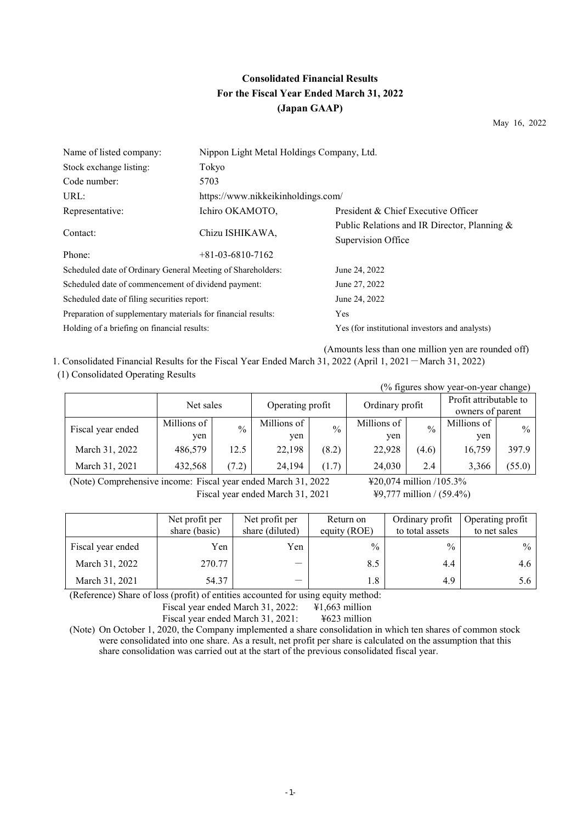# **Consolidated Financial Results For the Fiscal Year Ended March 31, 2022 (Japan GAAP)**

May 16, 2022

| Name of listed company:                                       | Nippon Light Metal Holdings Company, Ltd. |                                                |
|---------------------------------------------------------------|-------------------------------------------|------------------------------------------------|
| Stock exchange listing:                                       | Tokyo                                     |                                                |
| Code number:                                                  | 5703                                      |                                                |
| URL:                                                          | https://www.nikkeikinholdings.com/        |                                                |
| Representative:                                               | Ichiro OKAMOTO,                           | President & Chief Executive Officer            |
|                                                               |                                           | Public Relations and IR Director, Planning &   |
| Contact:                                                      | Chizu ISHIKAWA,                           | Supervision Office                             |
| Phone:                                                        | $+81-03-6810-7162$                        |                                                |
| Scheduled date of Ordinary General Meeting of Shareholders:   |                                           | June 24, 2022                                  |
| Scheduled date of commencement of dividend payment:           |                                           | June 27, 2022                                  |
| Scheduled date of filing securities report:                   |                                           | June 24, 2022                                  |
| Preparation of supplementary materials for financial results: |                                           | Yes                                            |
| Holding of a briefing on financial results:                   |                                           | Yes (for institutional investors and analysts) |
|                                                               |                                           |                                                |

(Amounts less than one million yen are rounded off) 1. Consolidated Financial Results for the Fiscal Year Ended March 31, 2022 (April 1, 2021-March 31, 2022)

## (1) Consolidated Operating Results

| (% figures show year-on-year change) |                    |               |                    |               |                    |               |                                            |               |  |
|--------------------------------------|--------------------|---------------|--------------------|---------------|--------------------|---------------|--------------------------------------------|---------------|--|
|                                      | Net sales          |               | Operating profit   |               | Ordinary profit    |               | Profit attributable to<br>owners of parent |               |  |
| Fiscal year ended                    | Millions of<br>yen | $\frac{0}{0}$ | Millions of<br>yen | $\frac{0}{0}$ | Millions of<br>yen | $\frac{0}{0}$ | Millions of<br>yen                         | $\frac{0}{0}$ |  |
| March 31, 2022                       | 486,579            | 12.5          | 22,198             | (8.2)         | 22,928             | (4.6)         | 16,759                                     | 397.9         |  |
| March 31, 2021                       | 432,568            | (7.2)         | 24,194             | (1.7)         | 24,030             | 2.4           | 3,366                                      | (55.0)        |  |

(Note) Comprehensive income: Fiscal year ended March 31, 2022 ¥20,074 million /105.3% Fiscal year ended March 31, 2021 ¥9,777 million / (59.4%)

|                   | Net profit per<br>share (basic) | Net profit per<br>share (diluted) | Return on<br>equity (ROE) | Ordinary profit<br>to total assets | Operating profit<br>to net sales |
|-------------------|---------------------------------|-----------------------------------|---------------------------|------------------------------------|----------------------------------|
| Fiscal year ended | Yen                             | Yen                               | $\frac{0}{0}$             | $\frac{0}{0}$                      | $\frac{0}{0}$                    |
| March 31, 2022    | 270.77                          |                                   | 8.5                       | 4.4                                | 4.6                              |
| March 31, 2021    | 54.37                           |                                   | 1.8                       | 4.9                                | 5.6                              |

(Reference) Share of loss (profit) of entities accounted for using equity method:

Fiscal year ended March 31, 2022: ¥1,663 million

Fiscal year ended March 31, 2021: ¥623 million

(Note) On October 1, 2020, the Company implemented a share consolidation in which ten shares of common stock were consolidated into one share. As a result, net profit per share is calculated on the assumption that this share consolidation was carried out at the start of the previous consolidated fiscal year.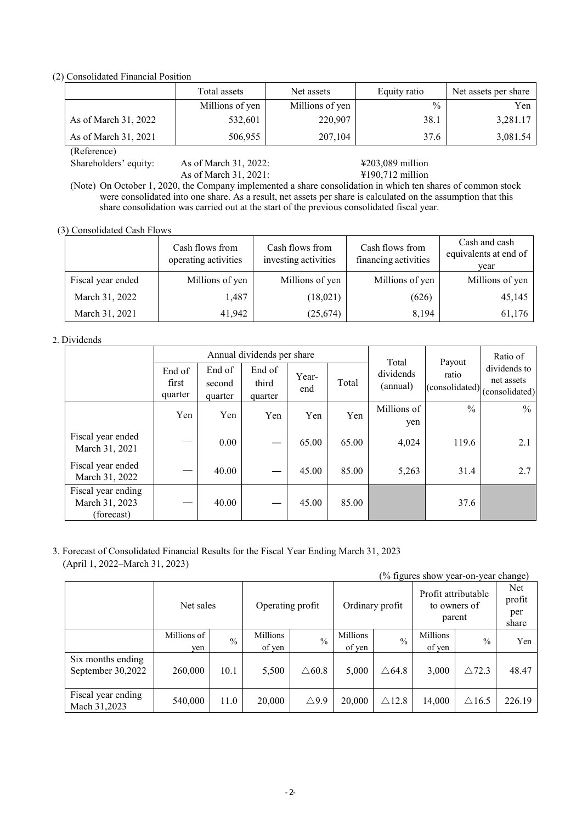(2) Consolidated Financial Position

|                      | Total assets    | Net assets      | Equity ratio  | Net assets per share |
|----------------------|-----------------|-----------------|---------------|----------------------|
|                      | Millions of yen | Millions of yen | $\frac{0}{0}$ | Yen                  |
| As of March 31, 2022 | 532,601         | 220,907         | 38.1          | 3,281.17             |
| As of March 31, 2021 | 506,955         | 207,104         | 37.6          | 3,081.54             |
| (Reference)          |                 |                 |               |                      |

Shareholders' equity: As of March 31, 2022:  $\frac{$203,089 \text{ million}}{4190,712 \text{ million}}$ As of March 31, 2021:

(Note) On October 1, 2020, the Company implemented a share consolidation in which ten shares of common stock were consolidated into one share. As a result, net assets per share is calculated on the assumption that this share consolidation was carried out at the start of the previous consolidated fiscal year.

(3) Consolidated Cash Flows

|                   | Cash flows from<br>operating activities | Cash flows from<br>investing activities | Cash flows from<br>financing activities | Cash and cash<br>equivalents at end of<br>vear |
|-------------------|-----------------------------------------|-----------------------------------------|-----------------------------------------|------------------------------------------------|
| Fiscal year ended | Millions of yen                         | Millions of yen                         | Millions of yen                         | Millions of yen                                |
| March 31, 2022    | 1,487                                   | (18,021)                                | (626)                                   | 45,145                                         |
| March 31, 2021    | 41,942                                  | (25, 674)                               | 8,194                                   | 61,176                                         |

#### 2. Dividends

|                                                    |                            |                             | Annual dividends per share |              |       | Total                 | Payout        | Ratio of                                                                     |
|----------------------------------------------------|----------------------------|-----------------------------|----------------------------|--------------|-------|-----------------------|---------------|------------------------------------------------------------------------------|
|                                                    | End of<br>first<br>quarter | End of<br>second<br>quarter | End of<br>third<br>quarter | Year-<br>end | Total | dividends<br>(annual) | ratio         | dividends to<br>net assets<br>$ (\text{considered}) _{(\text{considered})} $ |
|                                                    | Yen                        | Yen                         | Yen                        | Yen          | Yen   | Millions of<br>yen    | $\frac{0}{0}$ | $\frac{0}{0}$                                                                |
| Fiscal year ended<br>March 31, 2021                |                            | $0.00\,$                    |                            | 65.00        | 65.00 | 4,024                 | 119.6         | 2.1                                                                          |
| Fiscal year ended<br>March 31, 2022                |                            | 40.00                       |                            | 45.00        | 85.00 | 5,263                 | 31.4          | 2.7                                                                          |
| Fiscal year ending<br>March 31, 2023<br>(forecast) |                            | 40.00                       |                            | 45.00        | 85.00 |                       | 37.6          |                                                                              |

3. Forecast of Consolidated Financial Results for the Fiscal Year Ending March 31, 2023 (April 1, 2022–March 31, 2023)

|                                        |                    |               |                    |                  |                    |                  | (% figures show year-on-year change)          |                  |                                |
|----------------------------------------|--------------------|---------------|--------------------|------------------|--------------------|------------------|-----------------------------------------------|------------------|--------------------------------|
|                                        | Net sales          |               | Operating profit   |                  | Ordinary profit    |                  | Profit attributable<br>to owners of<br>parent |                  | Net.<br>profit<br>per<br>share |
|                                        | Millions of<br>yen | $\frac{0}{0}$ | Millions<br>of yen | $\frac{0}{0}$    | Millions<br>of yen | $\frac{0}{0}$    | Millions<br>of yen                            | $\frac{0}{0}$    | Yen                            |
| Six months ending<br>September 30,2022 | 260,000            | 10.1          | 5,500              | $\triangle 60.8$ | 5,000              | $\triangle$ 64.8 | 3,000                                         | $\triangle$ 72.3 | 48.47                          |
| Fiscal year ending<br>Mach 31,2023     | 540,000            | 11.0          | 20,000             | $\triangle$ 9.9  | 20,000             | $\triangle$ 12.8 | 14,000                                        | $\triangle$ 16.5 | 226.19                         |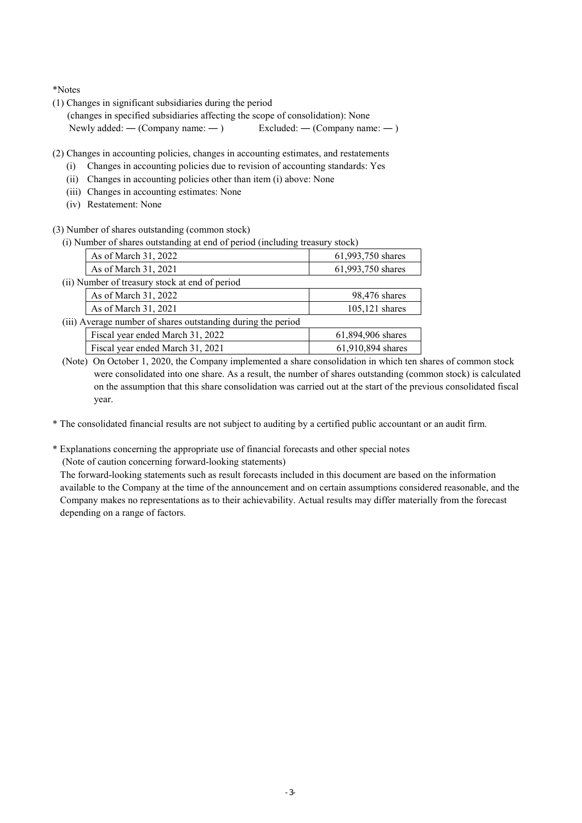\*Notes

(1) Changes in significant subsidiaries during the period

(changes in specified subsidiaries affecting the scope of consolidation): None Newly added: — (Company name:  $-$  ) Excluded: — (Company name:  $-$  )

- (2) Changes in accounting policies, changes in accounting estimates, and restatements
	- (i) Changes in accounting policies due to revision of accounting standards: Yes
	- (ii) Changes in accounting policies other than item (i) above: None
	- (iii) Changes in accounting estimates: None
	- (iv) Restatement: None

(3) Number of shares outstanding (common stock)

(i) Number of shares outstanding at end of period (including treasury stock)

| As of March 31, 2022                                         | 61,993,750 shares |
|--------------------------------------------------------------|-------------------|
| As of March 31, 2021                                         | 61,993,750 shares |
| (ii) Number of treasury stock at end of period               |                   |
| As of March 31, 2022                                         | 98,476 shares     |
| As of March 31, 2021                                         | 105,121 shares    |
| (iii) Average number of shares outstanding during the period |                   |
| Fiscal year ended March 31, 2022                             | 61,894,906 shares |
| Fiscal year ended March 31, 2021                             | 61,910,894 shares |

(Note) On October 1, 2020, the Company implemented a share consolidation in which ten shares of common stock were consolidated into one share. As a result, the number of shares outstanding (common stock) is calculated on the assumption that this share consolidation was carried out at the start of the previous consolidated fiscal year.

\* The consolidated financial results are not subject to auditing by a certified public accountant or an audit firm.

\* Explanations concerning the appropriate use of financial forecasts and other special notes (Note of caution concerning forward-looking statements)

The forward-looking statements such as result forecasts included in this document are based on the information available to the Company at the time of the announcement and on certain assumptions considered reasonable, and the Company makes no representations as to their achievability. Actual results may differ materially from the forecast depending on a range of factors.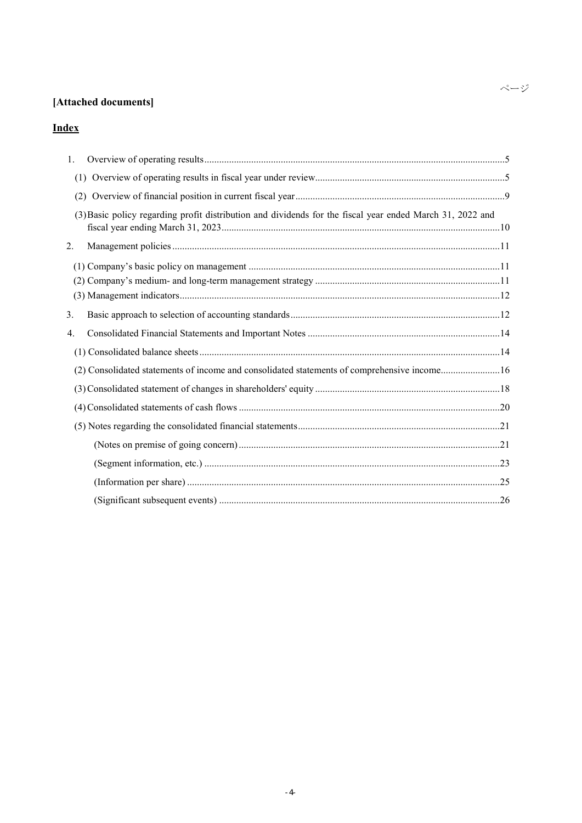# **[Attached documents]**

# **Index**

| 1. |                                                                                                           |
|----|-----------------------------------------------------------------------------------------------------------|
|    |                                                                                                           |
|    |                                                                                                           |
|    | (3) Basic policy regarding profit distribution and dividends for the fiscal year ended March 31, 2022 and |
| 2. |                                                                                                           |
|    |                                                                                                           |
| 3. |                                                                                                           |
| 4. |                                                                                                           |
|    |                                                                                                           |
|    | (2) Consolidated statements of income and consolidated statements of comprehensive income16               |
|    |                                                                                                           |
|    |                                                                                                           |
|    |                                                                                                           |
|    |                                                                                                           |
|    |                                                                                                           |
|    |                                                                                                           |
|    |                                                                                                           |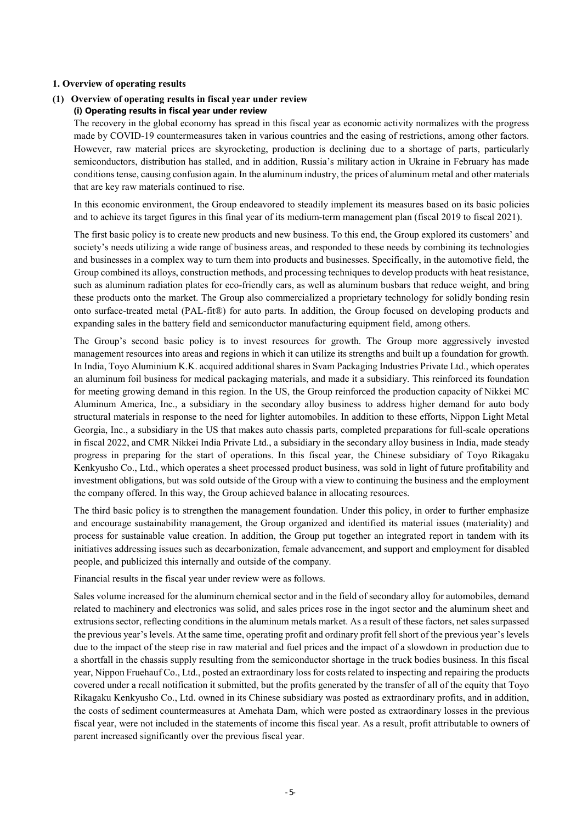#### **1. Overview of operating results**

# **(1) Overview of operating results in fiscal year under review**

## **(i) Operating results in fiscal year under review**

The recovery in the global economy has spread in this fiscal year as economic activity normalizes with the progress made by COVID-19 countermeasures taken in various countries and the easing of restrictions, among other factors. However, raw material prices are skyrocketing, production is declining due to a shortage of parts, particularly semiconductors, distribution has stalled, and in addition, Russia's military action in Ukraine in February has made conditions tense, causing confusion again. In the aluminum industry, the prices of aluminum metal and other materials that are key raw materials continued to rise.

In this economic environment, the Group endeavored to steadily implement its measures based on its basic policies and to achieve its target figures in this final year of its medium-term management plan (fiscal 2019 to fiscal 2021).

The first basic policy is to create new products and new business. To this end, the Group explored its customers' and society's needs utilizing a wide range of business areas, and responded to these needs by combining its technologies and businesses in a complex way to turn them into products and businesses. Specifically, in the automotive field, the Group combined its alloys, construction methods, and processing techniques to develop products with heat resistance, such as aluminum radiation plates for eco-friendly cars, as well as aluminum busbars that reduce weight, and bring these products onto the market. The Group also commercialized a proprietary technology for solidly bonding resin onto surface-treated metal (PAL-fit®) for auto parts. In addition, the Group focused on developing products and expanding sales in the battery field and semiconductor manufacturing equipment field, among others.

The Group's second basic policy is to invest resources for growth. The Group more aggressively invested management resources into areas and regions in which it can utilize its strengths and built up a foundation for growth. In India, Toyo Aluminium K.K. acquired additional shares in Svam Packaging Industries Private Ltd., which operates an aluminum foil business for medical packaging materials, and made it a subsidiary. This reinforced its foundation for meeting growing demand in this region. In the US, the Group reinforced the production capacity of Nikkei MC Aluminum America, Inc., a subsidiary in the secondary alloy business to address higher demand for auto body structural materials in response to the need for lighter automobiles. In addition to these efforts, Nippon Light Metal Georgia, Inc., a subsidiary in the US that makes auto chassis parts, completed preparations for full-scale operations in fiscal 2022, and CMR Nikkei India Private Ltd., a subsidiary in the secondary alloy business in India, made steady progress in preparing for the start of operations. In this fiscal year, the Chinese subsidiary of Toyo Rikagaku Kenkyusho Co., Ltd., which operates a sheet processed product business, was sold in light of future profitability and investment obligations, but was sold outside of the Group with a view to continuing the business and the employment the company offered. In this way, the Group achieved balance in allocating resources.

The third basic policy is to strengthen the management foundation. Under this policy, in order to further emphasize and encourage sustainability management, the Group organized and identified its material issues (materiality) and process for sustainable value creation. In addition, the Group put together an integrated report in tandem with its initiatives addressing issues such as decarbonization, female advancement, and support and employment for disabled people, and publicized this internally and outside of the company.

Financial results in the fiscal year under review were as follows.

Sales volume increased for the aluminum chemical sector and in the field of secondary alloy for automobiles, demand related to machinery and electronics was solid, and sales prices rose in the ingot sector and the aluminum sheet and extrusions sector, reflecting conditions in the aluminum metals market. As a result of these factors, net sales surpassed the previous year's levels. At the same time, operating profit and ordinary profit fell short of the previous year's levels due to the impact of the steep rise in raw material and fuel prices and the impact of a slowdown in production due to a shortfall in the chassis supply resulting from the semiconductor shortage in the truck bodies business. In this fiscal year, Nippon Fruehauf Co., Ltd., posted an extraordinary loss for costs related to inspecting and repairing the products covered under a recall notification it submitted, but the profits generated by the transfer of all of the equity that Toyo Rikagaku Kenkyusho Co., Ltd. owned in its Chinese subsidiary was posted as extraordinary profits, and in addition, the costs of sediment countermeasures at Amehata Dam, which were posted as extraordinary losses in the previous fiscal year, were not included in the statements of income this fiscal year. As a result, profit attributable to owners of parent increased significantly over the previous fiscal year.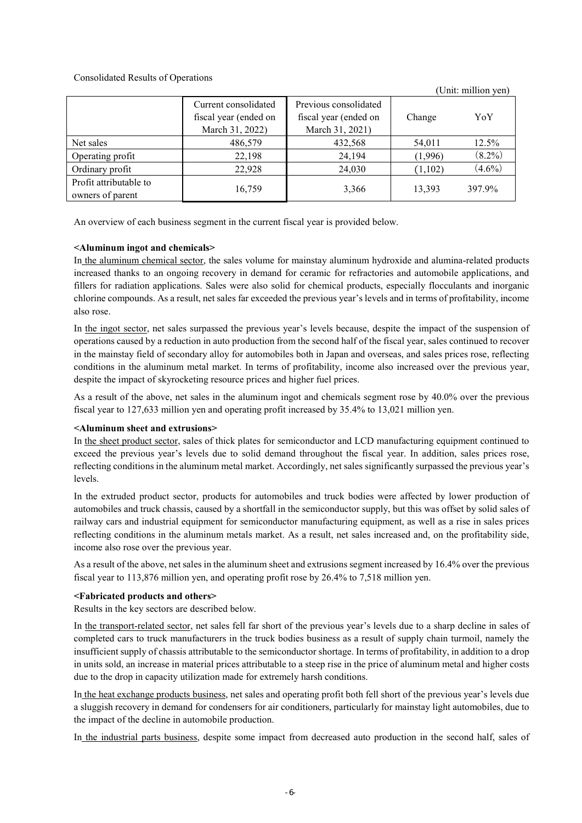## Consolidated Results of Operations

|                                            |                                                                                                                                       |         |         | $\circ$ mu minion $\circ$ m |
|--------------------------------------------|---------------------------------------------------------------------------------------------------------------------------------------|---------|---------|-----------------------------|
|                                            | Previous consolidated<br>Current consolidated<br>fiscal year (ended on<br>fiscal year (ended on<br>March 31, 2022)<br>March 31, 2021) |         | Change  | YoY                         |
| Net sales                                  | 486,579                                                                                                                               | 432,568 | 54,011  | 12.5%                       |
| Operating profit                           | 22,198                                                                                                                                | 24,194  | (1,996) | $(8.2\%)$                   |
| Ordinary profit                            | 22,928                                                                                                                                | 24,030  | (1,102) | $(4.6\%)$                   |
| Profit attributable to<br>owners of parent | 16,759                                                                                                                                | 3,366   | 13,393  | 397.9%                      |

(Unit: million yen)

An overview of each business segment in the current fiscal year is provided below.

## **<Aluminum ingot and chemicals>**

In the aluminum chemical sector, the sales volume for mainstay aluminum hydroxide and alumina-related products increased thanks to an ongoing recovery in demand for ceramic for refractories and automobile applications, and fillers for radiation applications. Sales were also solid for chemical products, especially flocculants and inorganic chlorine compounds. As a result, net sales far exceeded the previous year's levels and in terms of profitability, income also rose.

In the ingot sector, net sales surpassed the previous year's levels because, despite the impact of the suspension of operations caused by a reduction in auto production from the second half of the fiscal year, sales continued to recover in the mainstay field of secondary alloy for automobiles both in Japan and overseas, and sales prices rose, reflecting conditions in the aluminum metal market. In terms of profitability, income also increased over the previous year, despite the impact of skyrocketing resource prices and higher fuel prices.

As a result of the above, net sales in the aluminum ingot and chemicals segment rose by 40.0% over the previous fiscal year to 127,633 million yen and operating profit increased by 35.4% to 13,021 million yen.

#### **<Aluminum sheet and extrusions>**

In the sheet product sector, sales of thick plates for semiconductor and LCD manufacturing equipment continued to exceed the previous year's levels due to solid demand throughout the fiscal year. In addition, sales prices rose, reflecting conditions in the aluminum metal market. Accordingly, net sales significantly surpassed the previous year's levels.

In the extruded product sector, products for automobiles and truck bodies were affected by lower production of automobiles and truck chassis, caused by a shortfall in the semiconductor supply, but this was offset by solid sales of railway cars and industrial equipment for semiconductor manufacturing equipment, as well as a rise in sales prices reflecting conditions in the aluminum metals market. As a result, net sales increased and, on the profitability side, income also rose over the previous year.

As a result of the above, net sales in the aluminum sheet and extrusions segment increased by 16.4% over the previous fiscal year to 113,876 million yen, and operating profit rose by 26.4% to 7,518 million yen.

#### **<Fabricated products and others>**

Results in the key sectors are described below.

In the transport-related sector, net sales fell far short of the previous year's levels due to a sharp decline in sales of completed cars to truck manufacturers in the truck bodies business as a result of supply chain turmoil, namely the insufficient supply of chassis attributable to the semiconductor shortage. In terms of profitability, in addition to a drop in units sold, an increase in material prices attributable to a steep rise in the price of aluminum metal and higher costs due to the drop in capacity utilization made for extremely harsh conditions.

In the heat exchange products business, net sales and operating profit both fell short of the previous year's levels due a sluggish recovery in demand for condensers for air conditioners, particularly for mainstay light automobiles, due to the impact of the decline in automobile production.

In the industrial parts business, despite some impact from decreased auto production in the second half, sales of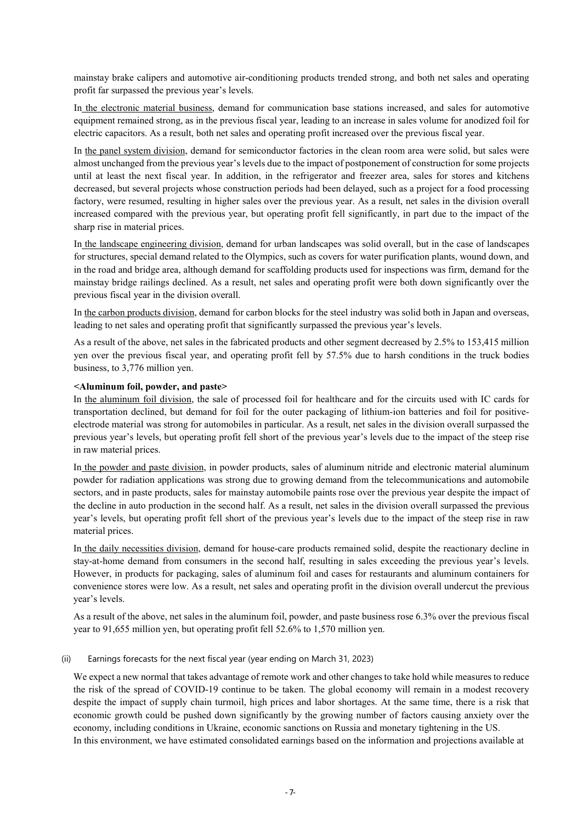mainstay brake calipers and automotive air-conditioning products trended strong, and both net sales and operating profit far surpassed the previous year's levels.

In the electronic material business, demand for communication base stations increased, and sales for automotive equipment remained strong, as in the previous fiscal year, leading to an increase in sales volume for anodized foil for electric capacitors. As a result, both net sales and operating profit increased over the previous fiscal year.

In the panel system division, demand for semiconductor factories in the clean room area were solid, but sales were almost unchanged from the previous year's levels due to the impact of postponement of construction for some projects until at least the next fiscal year. In addition, in the refrigerator and freezer area, sales for stores and kitchens decreased, but several projects whose construction periods had been delayed, such as a project for a food processing factory, were resumed, resulting in higher sales over the previous year. As a result, net sales in the division overall increased compared with the previous year, but operating profit fell significantly, in part due to the impact of the sharp rise in material prices.

In the landscape engineering division, demand for urban landscapes was solid overall, but in the case of landscapes for structures, special demand related to the Olympics, such as covers for water purification plants, wound down, and in the road and bridge area, although demand for scaffolding products used for inspections was firm, demand for the mainstay bridge railings declined. As a result, net sales and operating profit were both down significantly over the previous fiscal year in the division overall.

In the carbon products division, demand for carbon blocks for the steel industry was solid both in Japan and overseas, leading to net sales and operating profit that significantly surpassed the previous year's levels.

As a result of the above, net sales in the fabricated products and other segment decreased by 2.5% to 153,415 million yen over the previous fiscal year, and operating profit fell by 57.5% due to harsh conditions in the truck bodies business, to 3,776 million yen.

#### **<Aluminum foil, powder, and paste>**

In the aluminum foil division, the sale of processed foil for healthcare and for the circuits used with IC cards for transportation declined, but demand for foil for the outer packaging of lithium-ion batteries and foil for positiveelectrode material was strong for automobiles in particular. As a result, net sales in the division overall surpassed the previous year's levels, but operating profit fell short of the previous year's levels due to the impact of the steep rise in raw material prices.

In the powder and paste division, in powder products, sales of aluminum nitride and electronic material aluminum powder for radiation applications was strong due to growing demand from the telecommunications and automobile sectors, and in paste products, sales for mainstay automobile paints rose over the previous year despite the impact of the decline in auto production in the second half. As a result, net sales in the division overall surpassed the previous year's levels, but operating profit fell short of the previous year's levels due to the impact of the steep rise in raw material prices.

In the daily necessities division, demand for house-care products remained solid, despite the reactionary decline in stay-at-home demand from consumers in the second half, resulting in sales exceeding the previous year's levels. However, in products for packaging, sales of aluminum foil and cases for restaurants and aluminum containers for convenience stores were low. As a result, net sales and operating profit in the division overall undercut the previous year's levels.

As a result of the above, net sales in the aluminum foil, powder, and paste business rose 6.3% over the previous fiscal year to 91,655 million yen, but operating profit fell 52.6% to 1,570 million yen.

### (ii) Earnings forecasts for the next fiscal year (year ending on March 31, 2023)

We expect a new normal that takes advantage of remote work and other changes to take hold while measures to reduce the risk of the spread of COVID-19 continue to be taken. The global economy will remain in a modest recovery despite the impact of supply chain turmoil, high prices and labor shortages. At the same time, there is a risk that economic growth could be pushed down significantly by the growing number of factors causing anxiety over the economy, including conditions in Ukraine, economic sanctions on Russia and monetary tightening in the US. In this environment, we have estimated consolidated earnings based on the information and projections available at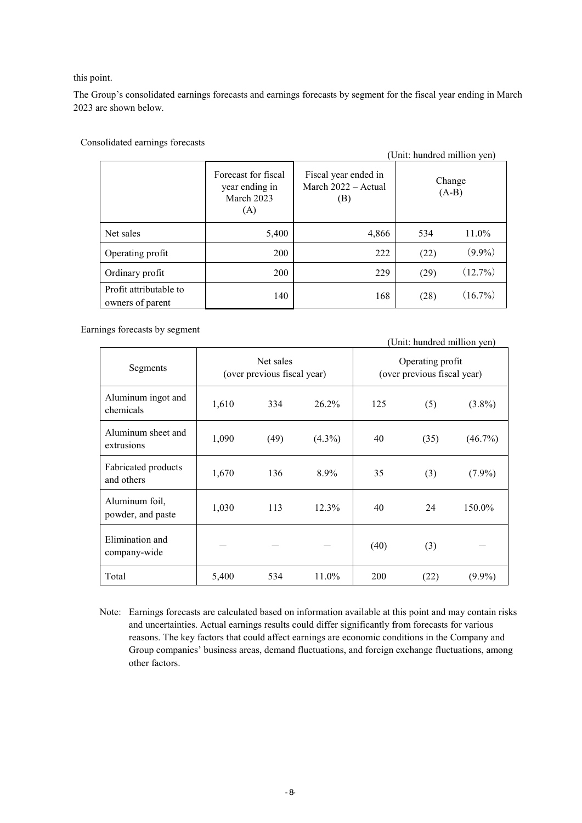this point.

The Group's consolidated earnings forecasts and earnings forecasts by segment for the fiscal year ending in March 2023 are shown below.

|                                            | (Unit: hundred million yen)                                |                                                    |                   |            |  |  |  |
|--------------------------------------------|------------------------------------------------------------|----------------------------------------------------|-------------------|------------|--|--|--|
|                                            | Forecast for fiscal<br>year ending in<br>March 2023<br>(A) | Fiscal year ended in<br>March 2022 - Actual<br>(B) | Change<br>$(A-B)$ |            |  |  |  |
| Net sales                                  | 5,400                                                      | 4,866                                              | 534               | 11.0%      |  |  |  |
| Operating profit                           | 200                                                        | 222                                                | (22)              | $(9.9\%)$  |  |  |  |
| Ordinary profit                            | 200                                                        | 229                                                | (29)              | $(12.7\%)$ |  |  |  |
| Profit attributable to<br>owners of parent | 140                                                        | 168                                                | (28)              | $(16.7\%)$ |  |  |  |

Consolidated earnings forecasts

Earnings forecasts by segment

|                                     |                                          |      | (Unit: hundred million yen) |                                                 |      |            |
|-------------------------------------|------------------------------------------|------|-----------------------------|-------------------------------------------------|------|------------|
| Segments                            | Net sales<br>(over previous fiscal year) |      |                             | Operating profit<br>(over previous fiscal year) |      |            |
| Aluminum ingot and<br>chemicals     | 1,610                                    | 334  | $26.2\%$                    | 125                                             | (5)  | $(3.8\%)$  |
| Aluminum sheet and<br>extrusions    | 1,090                                    | (49) | $(4.3\%)$                   | 40                                              | (35) | $(46.7\%)$ |
| Fabricated products<br>and others   | 1,670                                    | 136  | 8.9%                        | 35                                              | (3)  | $(7.9\%)$  |
| Aluminum foil,<br>powder, and paste | 1,030                                    | 113  | 12.3%                       | 40                                              | 24   | 150.0%     |
| Elimination and<br>company-wide     |                                          |      |                             | (40)                                            | (3)  |            |
| Total                               | 5,400                                    | 534  | $11.0\%$                    | 200                                             | (22) | $(9.9\%)$  |

Note: Earnings forecasts are calculated based on information available at this point and may contain risks and uncertainties. Actual earnings results could differ significantly from forecasts for various reasons. The key factors that could affect earnings are economic conditions in the Company and Group companies' business areas, demand fluctuations, and foreign exchange fluctuations, among other factors.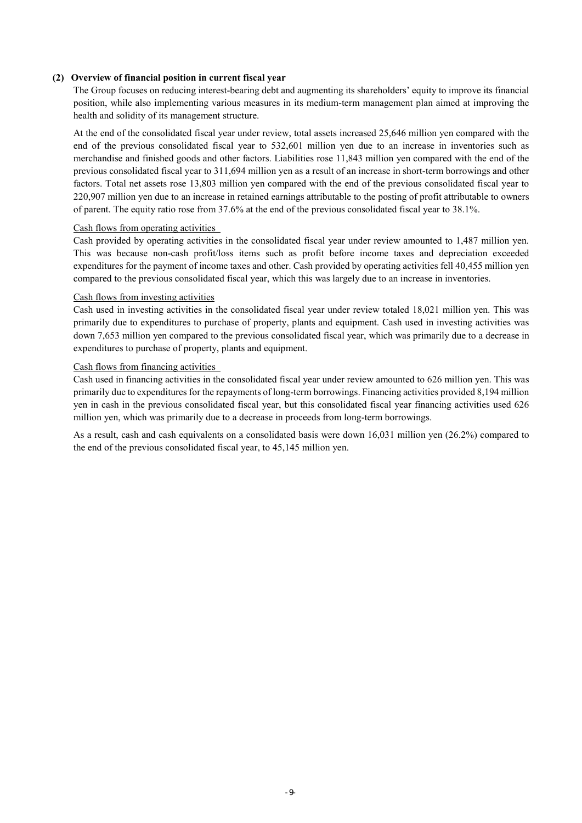## **(2) Overview of financial position in current fiscal year**

The Group focuses on reducing interest-bearing debt and augmenting its shareholders' equity to improve its financial position, while also implementing various measures in its medium-term management plan aimed at improving the health and solidity of its management structure.

At the end of the consolidated fiscal year under review, total assets increased 25,646 million yen compared with the end of the previous consolidated fiscal year to 532,601 million yen due to an increase in inventories such as merchandise and finished goods and other factors. Liabilities rose 11,843 million yen compared with the end of the previous consolidated fiscal year to 311,694 million yen as a result of an increase in short-term borrowings and other factors. Total net assets rose 13,803 million yen compared with the end of the previous consolidated fiscal year to 220,907 million yen due to an increase in retained earnings attributable to the posting of profit attributable to owners of parent. The equity ratio rose from 37.6% at the end of the previous consolidated fiscal year to 38.1%.

#### Cash flows from operating activities

Cash provided by operating activities in the consolidated fiscal year under review amounted to 1,487 million yen. This was because non-cash profit/loss items such as profit before income taxes and depreciation exceeded expenditures for the payment of income taxes and other. Cash provided by operating activities fell 40,455 million yen compared to the previous consolidated fiscal year, which this was largely due to an increase in inventories.

#### Cash flows from investing activities

Cash used in investing activities in the consolidated fiscal year under review totaled 18,021 million yen. This was primarily due to expenditures to purchase of property, plants and equipment. Cash used in investing activities was down 7,653 million yen compared to the previous consolidated fiscal year, which was primarily due to a decrease in expenditures to purchase of property, plants and equipment.

#### Cash flows from financing activities

Cash used in financing activities in the consolidated fiscal year under review amounted to 626 million yen. This was primarily due to expenditures for the repayments of long-term borrowings. Financing activities provided 8,194 million yen in cash in the previous consolidated fiscal year, but this consolidated fiscal year financing activities used 626 million yen, which was primarily due to a decrease in proceeds from long-term borrowings.

As a result, cash and cash equivalents on a consolidated basis were down 16,031 million yen (26.2%) compared to the end of the previous consolidated fiscal year, to 45,145 million yen.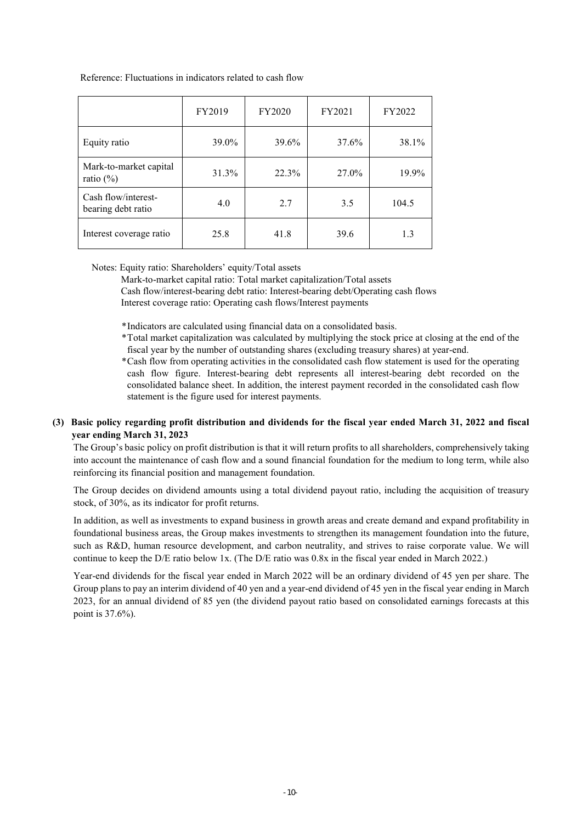#### Reference: Fluctuations in indicators related to cash flow

|                                           | FY2019 | <b>FY2020</b> | FY2021 | FY2022 |
|-------------------------------------------|--------|---------------|--------|--------|
| Equity ratio                              | 39.0%  | 39.6%         | 37.6%  | 38.1%  |
| Mark-to-market capital<br>ratio $(\%)$    | 31.3%  | 22.3%         | 27.0%  | 19.9%  |
| Cash flow/interest-<br>bearing debt ratio | 4.0    | 2.7           | 3.5    | 104.5  |
| Interest coverage ratio                   | 25.8   | 41.8          | 39.6   | 1.3    |

#### Notes: Equity ratio: Shareholders' equity/Total assets

Mark-to-market capital ratio: Total market capitalization/Total assets Cash flow/interest-bearing debt ratio: Interest-bearing debt/Operating cash flows Interest coverage ratio: Operating cash flows/Interest payments

\* Indicators are calculated using financial data on a consolidated basis.

- \* Total market capitalization was calculated by multiplying the stock price at closing at the end of the fiscal year by the number of outstanding shares (excluding treasury shares) at year-end.
- \* Cash flow from operating activities in the consolidated cash flow statement is used for the operating cash flow figure. Interest-bearing debt represents all interest-bearing debt recorded on the consolidated balance sheet. In addition, the interest payment recorded in the consolidated cash flow statement is the figure used for interest payments.

# **(3) Basic policy regarding profit distribution and dividends for the fiscal year ended March 31, 2022 and fiscal year ending March 31, 2023**

The Group's basic policy on profit distribution is that it will return profits to all shareholders, comprehensively taking into account the maintenance of cash flow and a sound financial foundation for the medium to long term, while also reinforcing its financial position and management foundation.

The Group decides on dividend amounts using a total dividend payout ratio, including the acquisition of treasury stock, of 30%, as its indicator for profit returns.

In addition, as well as investments to expand business in growth areas and create demand and expand profitability in foundational business areas, the Group makes investments to strengthen its management foundation into the future, such as R&D, human resource development, and carbon neutrality, and strives to raise corporate value. We will continue to keep the D/E ratio below 1x. (The D/E ratio was 0.8x in the fiscal year ended in March 2022.)

Year-end dividends for the fiscal year ended in March 2022 will be an ordinary dividend of 45 yen per share. The Group plans to pay an interim dividend of 40 yen and a year-end dividend of 45 yen in the fiscal year ending in March 2023, for an annual dividend of 85 yen (the dividend payout ratio based on consolidated earnings forecasts at this point is 37.6%).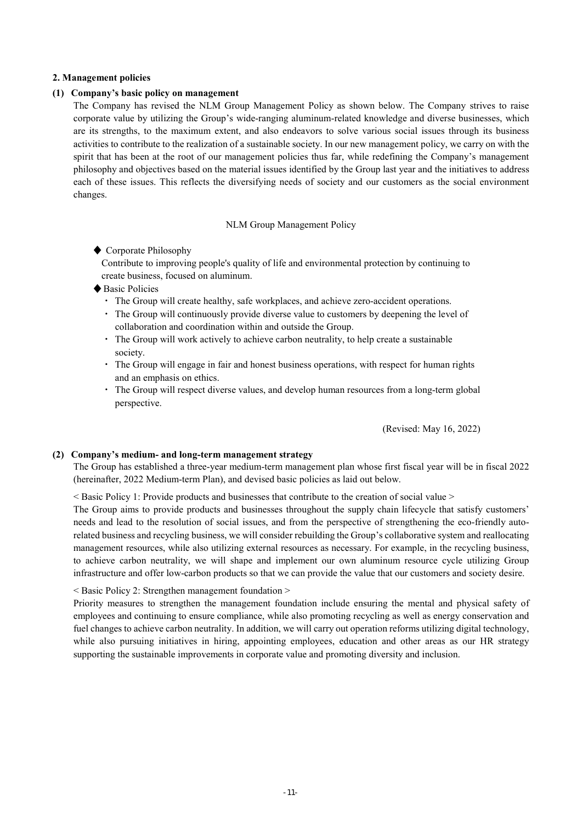#### **2. Management policies**

#### **(1) Company's basic policy on management**

The Company has revised the NLM Group Management Policy as shown below. The Company strives to raise corporate value by utilizing the Group's wide-ranging aluminum-related knowledge and diverse businesses, which are its strengths, to the maximum extent, and also endeavors to solve various social issues through its business activities to contribute to the realization of a sustainable society. In our new management policy, we carry on with the spirit that has been at the root of our management policies thus far, while redefining the Company's management philosophy and objectives based on the material issues identified by the Group last year and the initiatives to address each of these issues. This reflects the diversifying needs of society and our customers as the social environment changes.

#### NLM Group Management Policy

◆ Corporate Philosophy

Contribute to improving people's quality of life and environmental protection by continuing to create business, focused on aluminum.

♦ Basic Policies

・ The Group will create healthy, safe workplaces, and achieve zero-accident operations.

- ・ The Group will continuously provide diverse value to customers by deepening the level of collaboration and coordination within and outside the Group.
- ・ The Group will work actively to achieve carbon neutrality, to help create a sustainable society.
- ・ The Group will engage in fair and honest business operations, with respect for human rights and an emphasis on ethics.
- ・ The Group will respect diverse values, and develop human resources from a long-term global perspective.

(Revised: May 16, 2022)

## **(2) Company's medium- and long-term management strategy**

The Group has established a three-year medium-term management plan whose first fiscal year will be in fiscal 2022 (hereinafter, 2022 Medium-term Plan), and devised basic policies as laid out below.

< Basic Policy 1: Provide products and businesses that contribute to the creation of social value >

The Group aims to provide products and businesses throughout the supply chain lifecycle that satisfy customers' needs and lead to the resolution of social issues, and from the perspective of strengthening the eco-friendly autorelated business and recycling business, we will consider rebuilding the Group's collaborative system and reallocating management resources, while also utilizing external resources as necessary. For example, in the recycling business, to achieve carbon neutrality, we will shape and implement our own aluminum resource cycle utilizing Group infrastructure and offer low-carbon products so that we can provide the value that our customers and society desire.

#### < Basic Policy 2: Strengthen management foundation >

Priority measures to strengthen the management foundation include ensuring the mental and physical safety of employees and continuing to ensure compliance, while also promoting recycling as well as energy conservation and fuel changes to achieve carbon neutrality. In addition, we will carry out operation reforms utilizing digital technology, while also pursuing initiatives in hiring, appointing employees, education and other areas as our HR strategy supporting the sustainable improvements in corporate value and promoting diversity and inclusion.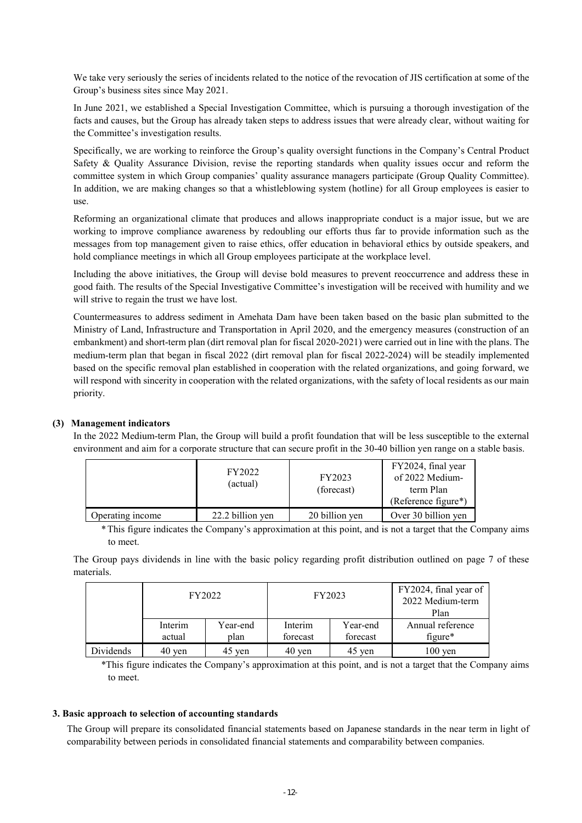We take very seriously the series of incidents related to the notice of the revocation of JIS certification at some of the Group's business sites since May 2021.

In June 2021, we established a Special Investigation Committee, which is pursuing a thorough investigation of the facts and causes, but the Group has already taken steps to address issues that were already clear, without waiting for the Committee's investigation results.

Specifically, we are working to reinforce the Group's quality oversight functions in the Company's Central Product Safety & Quality Assurance Division, revise the reporting standards when quality issues occur and reform the committee system in which Group companies' quality assurance managers participate (Group Quality Committee). In addition, we are making changes so that a whistleblowing system (hotline) for all Group employees is easier to use.

Reforming an organizational climate that produces and allows inappropriate conduct is a major issue, but we are working to improve compliance awareness by redoubling our efforts thus far to provide information such as the messages from top management given to raise ethics, offer education in behavioral ethics by outside speakers, and hold compliance meetings in which all Group employees participate at the workplace level.

Including the above initiatives, the Group will devise bold measures to prevent reoccurrence and address these in good faith. The results of the Special Investigative Committee's investigation will be received with humility and we will strive to regain the trust we have lost.

Countermeasures to address sediment in Amehata Dam have been taken based on the basic plan submitted to the Ministry of Land, Infrastructure and Transportation in April 2020, and the emergency measures (construction of an embankment) and short-term plan (dirt removal plan for fiscal 2020-2021) were carried out in line with the plans. The medium-term plan that began in fiscal 2022 (dirt removal plan for fiscal 2022-2024) will be steadily implemented based on the specific removal plan established in cooperation with the related organizations, and going forward, we will respond with sincerity in cooperation with the related organizations, with the safety of local residents as our main priority.

#### **(3) Management indicators**

In the 2022 Medium-term Plan, the Group will build a profit foundation that will be less susceptible to the external environment and aim for a corporate structure that can secure profit in the 30-40 billion yen range on a stable basis.

|                  | FY2022<br>(actual) | FY2023<br>(forecast) | FY2024, final year<br>of 2022 Medium-<br>term Plan<br>(Reference figure*) |
|------------------|--------------------|----------------------|---------------------------------------------------------------------------|
| Operating income | 22.2 billion yen   | 20 billion yen       | Over 30 billion yen                                                       |

\* This figure indicates the Company's approximation at this point, and is not a target that the Company aims to meet.

The Group pays dividends in line with the basic policy regarding profit distribution outlined on page 7 of these materials.

|           |         | FY2022   |                     | FY2023   | FY2024, final year of<br>2022 Medium-term<br>Plan |
|-----------|---------|----------|---------------------|----------|---------------------------------------------------|
|           | Interim | Year-end | Interim             | Year-end | Annual reference                                  |
|           | actual  | plan     | forecast            | forecast | $figure*$                                         |
| Dividends | 40 yen  | 45 yen   | $40 \,\mathrm{yen}$ | 45 yen   | $100 \text{ yen}$                                 |

\*This figure indicates the Company's approximation at this point, and is not a target that the Company aims to meet.

## **3. Basic approach to selection of accounting standards**

The Group will prepare its consolidated financial statements based on Japanese standards in the near term in light of comparability between periods in consolidated financial statements and comparability between companies.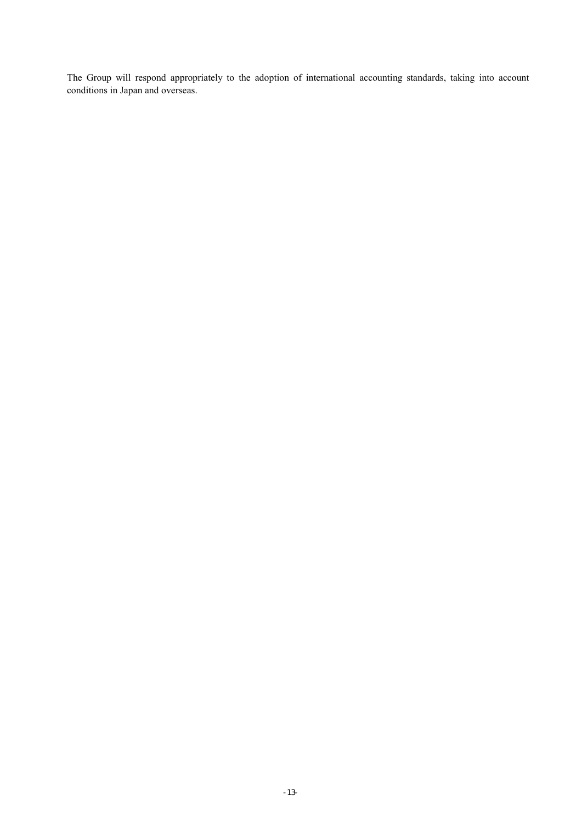The Group will respond appropriately to the adoption of international accounting standards, taking into account conditions in Japan and overseas.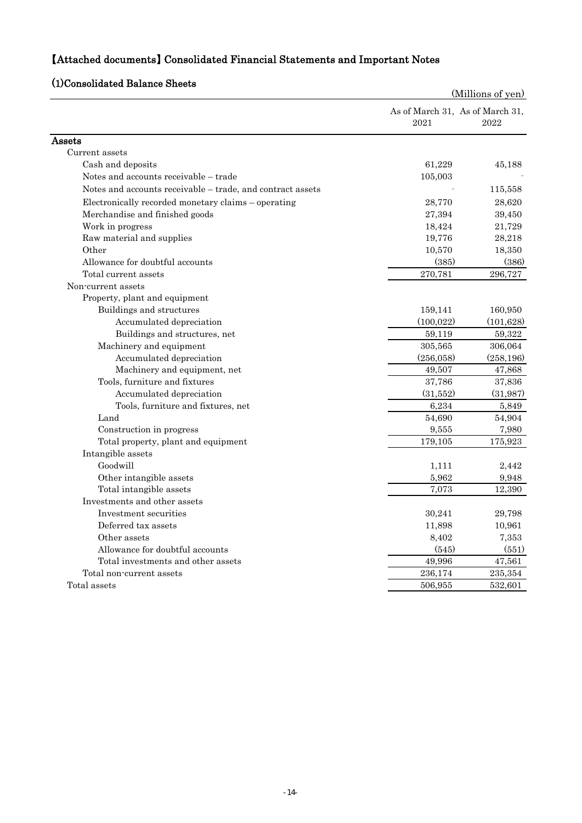# 【Attached documents】 Consolidated Financial Statements and Important Notes

# (1)Consolidated Balance Sheets

| usviiuateu Dalallee                                        |            | (Millions of yen)                       |
|------------------------------------------------------------|------------|-----------------------------------------|
|                                                            | 2021       | As of March 31, As of March 31,<br>2022 |
| Assets                                                     |            |                                         |
| Current assets                                             |            |                                         |
| Cash and deposits                                          | 61,229     | 45,188                                  |
| Notes and accounts receivable – trade                      | 105,003    |                                         |
| Notes and accounts receivable - trade, and contract assets |            | 115,558                                 |
| Electronically recorded monetary claims – operating        | 28,770     | 28,620                                  |
| Merchandise and finished goods                             | 27,394     | 39,450                                  |
| Work in progress                                           | 18,424     | 21,729                                  |
| Raw material and supplies                                  | 19,776     | 28,218                                  |
| Other                                                      | 10,570     | 18,350                                  |
| Allowance for doubtful accounts                            | (385)      | (386)                                   |
| Total current assets                                       | 270,781    | 296,727                                 |
| Non-current assets                                         |            |                                         |
| Property, plant and equipment                              |            |                                         |
| Buildings and structures                                   | 159,141    | 160,950                                 |
| Accumulated depreciation                                   | (100, 022) | (101, 628)                              |
| Buildings and structures, net                              | 59,119     | 59,322                                  |
| Machinery and equipment                                    | 305,565    | 306,064                                 |
| Accumulated depreciation                                   | (256, 058) | (258, 196)                              |
| Machinery and equipment, net                               | 49,507     | 47,868                                  |
| Tools, furniture and fixtures                              | 37,786     | 37,836                                  |
| Accumulated depreciation                                   | (31,552)   | (31, 987)                               |
| Tools, furniture and fixtures, net                         | 6,234      | 5,849                                   |
| Land                                                       | 54,690     | 54,904                                  |
| Construction in progress                                   | 9,555      | 7,980                                   |
| Total property, plant and equipment                        | 179,105    | 175,923                                 |
| Intangible assets                                          |            |                                         |
| Goodwill                                                   | 1,111      | 2,442                                   |
| Other intangible assets                                    | 5,962      | 9,948                                   |
| Total intangible assets                                    | 7,073      | 12,390                                  |
| Investments and other assets                               |            |                                         |
| Investment securities                                      | 30,241     | 29,798                                  |
| Deferred tax assets                                        | 11,898     | 10,961                                  |
| Other assets                                               | 8,402      | 7,353                                   |
| Allowance for doubtful accounts                            | (545)      | (551)                                   |
| Total investments and other assets                         | 49,996     | 47,561                                  |
| Total non-current assets                                   | 236,174    | 235,354                                 |
| Total assets                                               | 506,955    | 532,601                                 |
|                                                            |            |                                         |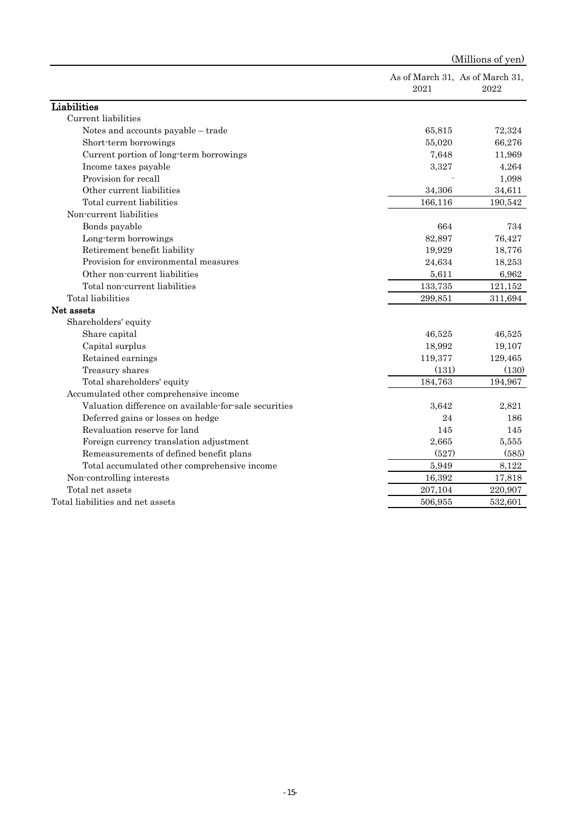|                                                       |         | (Millions of yen)                       |
|-------------------------------------------------------|---------|-----------------------------------------|
|                                                       | 2021    | As of March 31, As of March 31,<br>2022 |
| Liabilities                                           |         |                                         |
| Current liabilities                                   |         |                                         |
| Notes and accounts payable - trade                    | 65,815  | 72,324                                  |
| Short-term borrowings                                 | 55,020  | 66,276                                  |
| Current portion of long-term borrowings               | 7,648   | 11,969                                  |
| Income taxes payable                                  | 3,327   | 4,264                                   |
| Provision for recall                                  |         | 1,098                                   |
| Other current liabilities                             | 34,306  | 34,611                                  |
| Total current liabilities                             | 166,116 | 190,542                                 |
| Non-current liabilities                               |         |                                         |
| Bonds payable                                         | 664     | 734                                     |
| Long-term borrowings                                  | 82,897  | 76,427                                  |
| Retirement benefit liability                          | 19,929  | 18,776                                  |
| Provision for environmental measures                  | 24,634  | 18,253                                  |
| Other non-current liabilities                         | 5,611   | 6,962                                   |
| Total non-current liabilities                         | 133,735 | 121,152                                 |
| Total liabilities                                     | 299,851 | 311,694                                 |
| Net assets                                            |         |                                         |
| Shareholders' equity                                  |         |                                         |
| Share capital                                         | 46,525  | 46,525                                  |
| Capital surplus                                       | 18,992  | 19,107                                  |
| Retained earnings                                     | 119,377 | 129,465                                 |
| Treasury shares                                       | (131)   | (130)                                   |
| Total shareholders' equity                            | 184,763 | 194,967                                 |
| Accumulated other comprehensive income                |         |                                         |
| Valuation difference on available for sale securities | 3,642   | 2,821                                   |
| Deferred gains or losses on hedge                     | 24      | 186                                     |
| Revaluation reserve for land                          | 145     | 145                                     |
| Foreign currency translation adjustment               | 2,665   | 5,555                                   |
| Remeasurements of defined benefit plans               | (527)   | (585)                                   |
| Total accumulated other comprehensive income          | 5,949   | 8,122                                   |
| Non-controlling interests                             | 16,392  | 17,818                                  |
| Total net assets                                      | 207,104 | 220,907                                 |
| Total liabilities and net assets                      | 506,955 | 532,601                                 |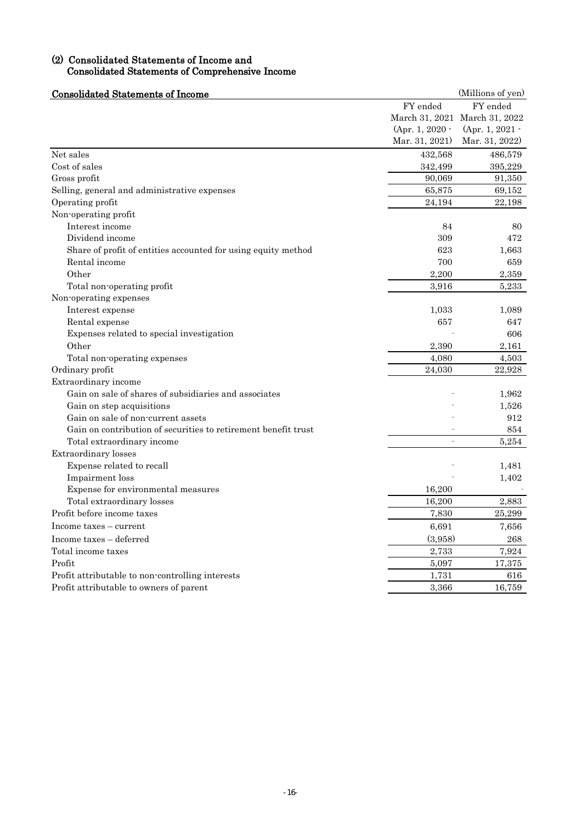## (2) Consolidated Statements of Income and Consolidated Statements of Comprehensive Income

| <b>Consolidated Statements of Income</b>                       |                 | (Millions of yen)             |
|----------------------------------------------------------------|-----------------|-------------------------------|
|                                                                | FY ended        | FY ended                      |
|                                                                |                 | March 31, 2021 March 31, 2022 |
|                                                                | (Apr. 1, 2020 - | (Apr. 1, 2021 -               |
|                                                                | Mar. 31, 2021)  | Mar. 31, 2022)                |
| Net sales                                                      | 432,568         | 486,579                       |
| Cost of sales                                                  | 342,499         | 395,229                       |
| Gross profit                                                   | 90,069          | 91,350                        |
| Selling, general and administrative expenses                   | 65,875          | 69,152                        |
| Operating profit                                               | 24,194          | 22,198                        |
| Non-operating profit                                           |                 |                               |
| Interest income                                                | 84              | 80                            |
| Dividend income                                                | 309             | 472                           |
| Share of profit of entities accounted for using equity method  | 623             | 1,663                         |
| Rental income                                                  | 700             | 659                           |
| Other                                                          | 2,200           | 2,359                         |
| Total non-operating profit                                     | 3,916           | 5,233                         |
| Non-operating expenses                                         |                 |                               |
| Interest expense                                               | 1,033           | 1,089                         |
| Rental expense                                                 | 657             | 647                           |
| Expenses related to special investigation                      |                 | 606                           |
| Other                                                          | 2,390           | 2,161                         |
| Total non-operating expenses                                   | 4,080           | 4,503                         |
| Ordinary profit                                                | 24,030          | 22,928                        |
| Extraordinary income                                           |                 |                               |
| Gain on sale of shares of subsidiaries and associates          |                 | 1,962                         |
| Gain on step acquisitions                                      |                 | 1,526                         |
| Gain on sale of non-current assets                             |                 | 912                           |
| Gain on contribution of securities to retirement benefit trust |                 | 854                           |
| Total extraordinary income                                     | $\overline{a}$  | 5,254                         |
| Extraordinary losses                                           |                 |                               |
| Expense related to recall                                      |                 | 1,481                         |
| Impairment loss                                                |                 | 1,402                         |
| Expense for environmental measures                             | 16,200          |                               |
| Total extraordinary losses                                     | 16,200          | 2,883                         |
| Profit before income taxes                                     | 7,830           | 25,299                        |
| Income taxes – current                                         | 6,691           | 7,656                         |
| Income taxes - deferred                                        | (3,958)         | 268                           |
| Total income taxes                                             | 2,733           | 7,924                         |
| Profit                                                         | 5,097           | 17,375                        |
| Profit attributable to non-controlling interests               | 1,731           | 616                           |
| Profit attributable to owners of parent                        | 3,366           | 16,759                        |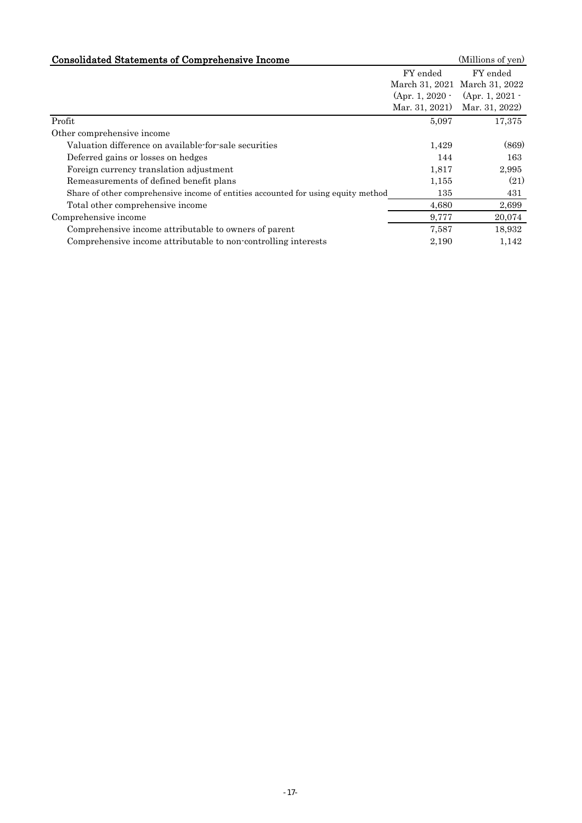| <b>Consolidated Statements of Comprehensive Income</b>                            |                   | (Millions of yen)             |
|-----------------------------------------------------------------------------------|-------------------|-------------------------------|
|                                                                                   | FY ended          | FY ended                      |
|                                                                                   |                   | March 31, 2021 March 31, 2022 |
|                                                                                   | $(Apr. 1, 2020 -$ | (Apr. 1, 2021 -               |
|                                                                                   | Mar. 31, 2021)    | Mar. 31, 2022)                |
| Profit                                                                            | 5,097             | 17,375                        |
| Other comprehensive income                                                        |                   |                               |
| Valuation difference on available-for-sale securities                             | 1,429             | (869)                         |
| Deferred gains or losses on hedges                                                | 144               | 163                           |
| Foreign currency translation adjustment                                           | 1,817             | 2,995                         |
| Remeasurements of defined benefit plans                                           | 1,155             | (21)                          |
| Share of other comprehensive income of entities accounted for using equity method | 135               | 431                           |
| Total other comprehensive income                                                  | 4,680             | 2,699                         |
| Comprehensive income                                                              | 9,777             | 20,074                        |
| Comprehensive income attributable to owners of parent                             | 7,587             | 18,932                        |
| Comprehensive income attributable to non-controlling interests                    | 2,190             | 1,142                         |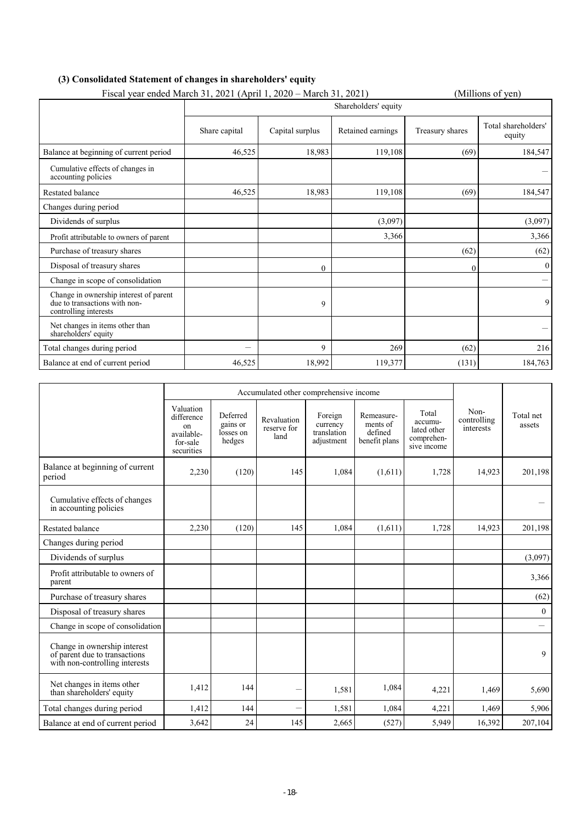| Fiscal year ended March 31, 2021 (April 1, 2020 – March 31, 2021)                                |                      |                 | (Millions of yen) |                 |                               |  |  |
|--------------------------------------------------------------------------------------------------|----------------------|-----------------|-------------------|-----------------|-------------------------------|--|--|
|                                                                                                  | Shareholders' equity |                 |                   |                 |                               |  |  |
|                                                                                                  | Share capital        | Capital surplus | Retained earnings | Treasury shares | Total shareholders'<br>equity |  |  |
| Balance at beginning of current period                                                           | 46,525               | 18,983          | 119,108           | (69)            | 184,547                       |  |  |
| Cumulative effects of changes in<br>accounting policies                                          |                      |                 |                   |                 |                               |  |  |
| Restated balance                                                                                 | 46,525               | 18,983          | 119,108           | (69)            | 184,547                       |  |  |
| Changes during period                                                                            |                      |                 |                   |                 |                               |  |  |
| Dividends of surplus                                                                             |                      |                 | (3,097)           |                 | (3,097)                       |  |  |
| Profit attributable to owners of parent                                                          |                      |                 | 3,366             |                 | 3,366                         |  |  |
| Purchase of treasury shares                                                                      |                      |                 |                   | (62)            | (62)                          |  |  |
| Disposal of treasury shares                                                                      |                      | $\theta$        |                   | 0               | $\theta$                      |  |  |
| Change in scope of consolidation                                                                 |                      |                 |                   |                 |                               |  |  |
| Change in ownership interest of parent<br>due to transactions with non-<br>controlling interests |                      | 9               |                   |                 | 9                             |  |  |
| Net changes in items other than<br>shareholders' equity                                          |                      |                 |                   |                 |                               |  |  |
| Total changes during period                                                                      | —                    | 9               | 269               | (62)            | 216                           |  |  |
| Balance at end of current period                                                                 | 46,525               | 18,992          | 119,377           | (131)           | 184,763                       |  |  |

|                                                                                                 | Accumulated other comprehensive income                                |                                             |                                    |                                                  |                                                    |                                                              |                                         |                     |
|-------------------------------------------------------------------------------------------------|-----------------------------------------------------------------------|---------------------------------------------|------------------------------------|--------------------------------------------------|----------------------------------------------------|--------------------------------------------------------------|-----------------------------------------|---------------------|
|                                                                                                 | Valuation<br>difference<br>on<br>available-<br>for-sale<br>securities | Deferred<br>gains or<br>losses on<br>hedges | Revaluation<br>reserve for<br>land | Foreign<br>currency<br>translation<br>adjustment | Remeasure-<br>ments of<br>defined<br>benefit plans | Total<br>accumu-<br>lated other<br>comprehen-<br>sive income | Non-<br>controlling<br><i>interests</i> | Total net<br>assets |
| Balance at beginning of current<br>period                                                       | 2,230                                                                 | (120)                                       | 145                                | 1,084                                            | (1,611)                                            | 1,728                                                        | 14,923                                  | 201,198             |
| Cumulative effects of changes<br>in accounting policies                                         |                                                                       |                                             |                                    |                                                  |                                                    |                                                              |                                         |                     |
| <b>Restated balance</b>                                                                         | 2.230                                                                 | (120)                                       | 145                                | 1.084                                            | (1,611)                                            | 1.728                                                        | 14,923                                  | 201,198             |
| Changes during period                                                                           |                                                                       |                                             |                                    |                                                  |                                                    |                                                              |                                         |                     |
| Dividends of surplus                                                                            |                                                                       |                                             |                                    |                                                  |                                                    |                                                              |                                         | (3,097)             |
| Profit attributable to owners of<br>parent                                                      |                                                                       |                                             |                                    |                                                  |                                                    |                                                              |                                         | 3,366               |
| Purchase of treasury shares                                                                     |                                                                       |                                             |                                    |                                                  |                                                    |                                                              |                                         | (62)                |
| Disposal of treasury shares                                                                     |                                                                       |                                             |                                    |                                                  |                                                    |                                                              |                                         | $\mathbf{0}$        |
| Change in scope of consolidation                                                                |                                                                       |                                             |                                    |                                                  |                                                    |                                                              |                                         |                     |
| Change in ownership interest<br>of parent due to transactions<br>with non-controlling interests |                                                                       |                                             |                                    |                                                  |                                                    |                                                              |                                         | 9                   |
| Net changes in items other<br>than shareholders' equity                                         | 1,412                                                                 | 144                                         |                                    | 1,581                                            | 1,084                                              | 4,221                                                        | 1,469                                   | 5,690               |
| Total changes during period                                                                     | 1,412                                                                 | 144                                         | $\overline{\phantom{0}}$           | 1,581                                            | 1,084                                              | 4,221                                                        | 1,469                                   | 5,906               |
| Balance at end of current period                                                                | 3,642                                                                 | 24                                          | 145                                | 2,665                                            | (527)                                              | 5,949                                                        | 16,392                                  | 207,104             |

# **(3) Consolidated Statement of changes in shareholders' equity**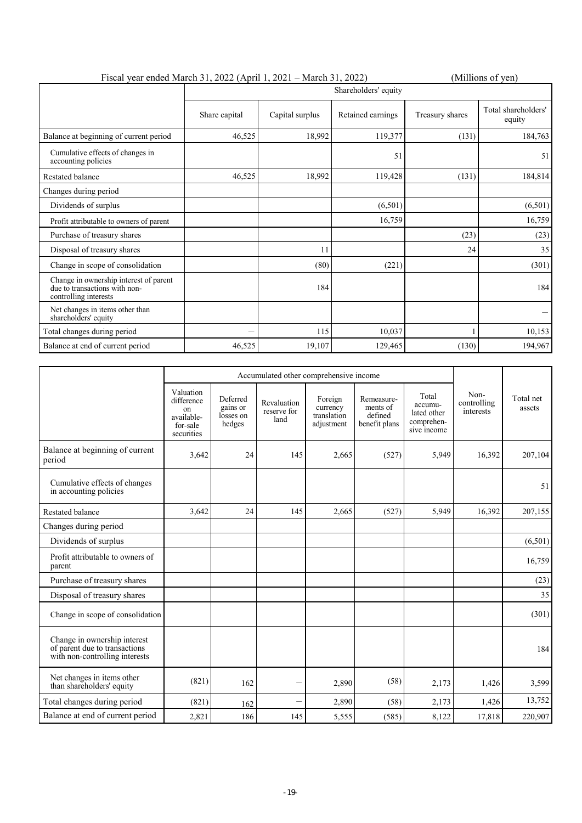| Fiscal year ended March 31, 2022 (April 1, 2021 – March 31, 2022)                                |                      |                 | (Millions of yen) |                 |                               |  |
|--------------------------------------------------------------------------------------------------|----------------------|-----------------|-------------------|-----------------|-------------------------------|--|
|                                                                                                  | Shareholders' equity |                 |                   |                 |                               |  |
|                                                                                                  | Share capital        | Capital surplus | Retained earnings | Treasury shares | Total shareholders'<br>equity |  |
| Balance at beginning of current period                                                           | 46,525               | 18,992          | 119,377           | (131)           | 184,763                       |  |
| Cumulative effects of changes in<br>accounting policies                                          |                      |                 | 51                |                 | 51                            |  |
| Restated balance                                                                                 | 46,525               | 18,992          | 119,428           | (131)           | 184,814                       |  |
| Changes during period                                                                            |                      |                 |                   |                 |                               |  |
| Dividends of surplus                                                                             |                      |                 | (6,501)           |                 | (6,501)                       |  |
| Profit attributable to owners of parent                                                          |                      |                 | 16,759            |                 | 16,759                        |  |
| Purchase of treasury shares                                                                      |                      |                 |                   | (23)            | (23)                          |  |
| Disposal of treasury shares                                                                      |                      | 11              |                   | 24              | 35                            |  |
| Change in scope of consolidation                                                                 |                      | (80)            | (221)             |                 | (301)                         |  |
| Change in ownership interest of parent<br>due to transactions with non-<br>controlling interests |                      | 184             |                   |                 | 184                           |  |
| Net changes in items other than<br>shareholders' equity                                          |                      |                 |                   |                 |                               |  |
| Total changes during period                                                                      |                      | 115             | 10,037            |                 | 10,153                        |  |
| Balance at end of current period                                                                 | 46,525               | 19,107          | 129,465           | (130)           | 194,967                       |  |

|                                                                                                 | Accumulated other comprehensive income                                |                                             |                                    |                                                  |                                                    |                                                              |                                               |                     |
|-------------------------------------------------------------------------------------------------|-----------------------------------------------------------------------|---------------------------------------------|------------------------------------|--------------------------------------------------|----------------------------------------------------|--------------------------------------------------------------|-----------------------------------------------|---------------------|
|                                                                                                 | Valuation<br>difference<br>on<br>available-<br>for-sale<br>securities | Deferred<br>gains or<br>losses on<br>hedges | Revaluation<br>reserve for<br>land | Foreign<br>currency<br>translation<br>adjustment | Remeasure-<br>ments of<br>defined<br>benefit plans | Total<br>accumu-<br>lated other<br>comprehen-<br>sive income | Non-<br>controlling<br>interests <sup>7</sup> | Total net<br>assets |
| Balance at beginning of current<br>period                                                       | 3,642                                                                 | 24                                          | 145                                | 2,665                                            | (527)                                              | 5,949                                                        | 16,392                                        | 207,104             |
| Cumulative effects of changes<br>in accounting policies                                         |                                                                       |                                             |                                    |                                                  |                                                    |                                                              |                                               | 51                  |
| <b>Restated balance</b>                                                                         | 3,642                                                                 | 24                                          | 145                                | 2,665                                            | (527)                                              | 5,949                                                        | 16,392                                        | 207,155             |
| Changes during period                                                                           |                                                                       |                                             |                                    |                                                  |                                                    |                                                              |                                               |                     |
| Dividends of surplus                                                                            |                                                                       |                                             |                                    |                                                  |                                                    |                                                              |                                               | (6,501)             |
| Profit attributable to owners of<br>parent                                                      |                                                                       |                                             |                                    |                                                  |                                                    |                                                              |                                               | 16,759              |
| Purchase of treasury shares                                                                     |                                                                       |                                             |                                    |                                                  |                                                    |                                                              |                                               | (23)                |
| Disposal of treasury shares                                                                     |                                                                       |                                             |                                    |                                                  |                                                    |                                                              |                                               | 35                  |
| Change in scope of consolidation                                                                |                                                                       |                                             |                                    |                                                  |                                                    |                                                              |                                               | (301)               |
| Change in ownership interest<br>of parent due to transactions<br>with non-controlling interests |                                                                       |                                             |                                    |                                                  |                                                    |                                                              |                                               | 184                 |
| Net changes in items other<br>than shareholders' equity                                         | (821)                                                                 | 162                                         |                                    | 2,890                                            | (58)                                               | 2,173                                                        | 1,426                                         | 3,599               |
| Total changes during period                                                                     | (821)                                                                 | 162                                         |                                    | 2,890                                            | (58)                                               | 2,173                                                        | 1,426                                         | 13,752              |
| Balance at end of current period                                                                | 2,821                                                                 | 186                                         | 145                                | 5,555                                            | (585)                                              | 8,122                                                        | 17,818                                        | 220,907             |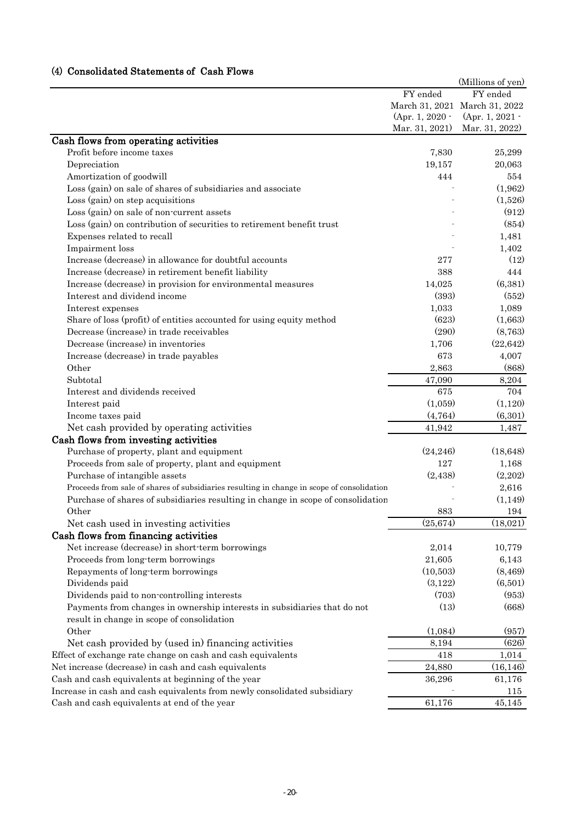# (4) Consolidated Statements of Cash Flows

|                                                                                            |                 | (Millions of yen)             |
|--------------------------------------------------------------------------------------------|-----------------|-------------------------------|
|                                                                                            | FY ended        | FY ended                      |
|                                                                                            |                 | March 31, 2021 March 31, 2022 |
|                                                                                            | (Apr. 1, 2020 - | (Apr. 1, 2021 -               |
|                                                                                            | Mar. 31, 2021)  | Mar. 31, 2022)                |
| Cash flows from operating activities                                                       |                 |                               |
| Profit before income taxes                                                                 | 7,830           | 25,299                        |
| Depreciation                                                                               | 19,157          | 20,063                        |
| Amortization of goodwill                                                                   | 444             | 554                           |
| Loss (gain) on sale of shares of subsidiaries and associate                                |                 | (1,962)                       |
| Loss (gain) on step acquisitions                                                           |                 | (1,526)                       |
| Loss (gain) on sale of non-current assets                                                  |                 | (912)                         |
| Loss (gain) on contribution of securities to retirement benefit trust                      |                 | (854)                         |
| Expenses related to recall                                                                 |                 | 1,481                         |
| Impairment loss                                                                            |                 | 1,402                         |
| Increase (decrease) in allowance for doubtful accounts                                     | 277             | (12)                          |
| Increase (decrease) in retirement benefit liability                                        | 388             | 444                           |
| Increase (decrease) in provision for environmental measures                                | 14,025          | (6, 381)                      |
| Interest and dividend income                                                               | (393)           | (552)                         |
| Interest expenses                                                                          | 1,033           | 1,089                         |
| Share of loss (profit) of entities accounted for using equity method                       | (623)           | (1,663)                       |
| Decrease (increase) in trade receivables                                                   | (290)           | (8,763)                       |
| Decrease (increase) in inventories                                                         | 1,706           | (22, 642)                     |
| Increase (decrease) in trade payables                                                      | 673             | 4,007                         |
| Other                                                                                      | 2,863           | (868)                         |
| Subtotal                                                                                   | 47,090          | 8,204                         |
| Interest and dividends received                                                            | 675             | 704                           |
| Interest paid                                                                              | (1,059)         | (1,120)                       |
| Income taxes paid                                                                          | (4,764)         | (6,301)                       |
| Net cash provided by operating activities                                                  | 41,942          | 1,487                         |
| Cash flows from investing activities                                                       |                 |                               |
| Purchase of property, plant and equipment                                                  | (24, 246)       | (18, 648)                     |
| Proceeds from sale of property, plant and equipment                                        | 127             | 1,168                         |
| Purchase of intangible assets                                                              | (2, 438)        | (2,202)                       |
| Proceeds from sale of shares of subsidiaries resulting in change in scope of consolidation |                 | 2,616                         |
| Purchase of shares of subsidiaries resulting in change in scope of consolidation           |                 | (1, 149)                      |
| Other                                                                                      | 883             | 194                           |
| Net cash used in investing activities                                                      | (25, 674)       | (18,021)                      |
| Cash flows from financing activities                                                       |                 |                               |
| Net increase (decrease) in short-term borrowings                                           | 2,014           | 10,779                        |
| Proceeds from long-term borrowings                                                         | 21,605          | 6,143                         |
| Repayments of long-term borrowings                                                         | (10,503)        | (8, 469)                      |
| Dividends paid                                                                             | (3,122)         | (6,501)                       |
| Dividends paid to non-controlling interests                                                | (703)           | (953)                         |
| Payments from changes in ownership interests in subsidiaries that do not                   | (13)            | (668)                         |
| result in change in scope of consolidation                                                 |                 |                               |
| Other                                                                                      | (1,084)         | (957)                         |
| Net cash provided by (used in) financing activities                                        | 8,194           | (626)                         |
| Effect of exchange rate change on cash and cash equivalents                                | 418             | 1,014                         |
| Net increase (decrease) in cash and cash equivalents                                       | 24,880          | (16, 146)                     |
| Cash and cash equivalents at beginning of the year                                         | 36,296          | 61,176                        |
| Increase in cash and cash equivalents from newly consolidated subsidiary                   |                 | 115                           |
| Cash and cash equivalents at end of the year                                               | 61,176          | 45,145                        |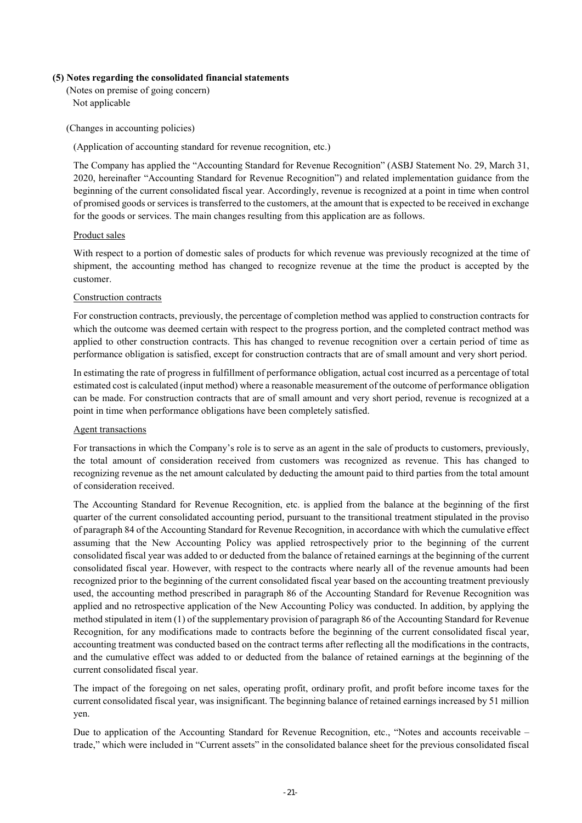#### **(5) Notes regarding the consolidated financial statements**

(Notes on premise of going concern) Not applicable

(Changes in accounting policies)

(Application of accounting standard for revenue recognition, etc.)

The Company has applied the "Accounting Standard for Revenue Recognition" (ASBJ Statement No. 29, March 31, 2020, hereinafter "Accounting Standard for Revenue Recognition") and related implementation guidance from the beginning of the current consolidated fiscal year. Accordingly, revenue is recognized at a point in time when control of promised goods or services is transferred to the customers, at the amount that is expected to be received in exchange for the goods or services. The main changes resulting from this application are as follows.

#### Product sales

With respect to a portion of domestic sales of products for which revenue was previously recognized at the time of shipment, the accounting method has changed to recognize revenue at the time the product is accepted by the customer.

# Construction contracts

For construction contracts, previously, the percentage of completion method was applied to construction contracts for which the outcome was deemed certain with respect to the progress portion, and the completed contract method was applied to other construction contracts. This has changed to revenue recognition over a certain period of time as performance obligation is satisfied, except for construction contracts that are of small amount and very short period.

In estimating the rate of progress in fulfillment of performance obligation, actual cost incurred as a percentage of total estimated cost is calculated (input method) where a reasonable measurement of the outcome of performance obligation can be made. For construction contracts that are of small amount and very short period, revenue is recognized at a point in time when performance obligations have been completely satisfied.

#### Agent transactions

For transactions in which the Company's role is to serve as an agent in the sale of products to customers, previously, the total amount of consideration received from customers was recognized as revenue. This has changed to recognizing revenue as the net amount calculated by deducting the amount paid to third parties from the total amount of consideration received.

The Accounting Standard for Revenue Recognition, etc. is applied from the balance at the beginning of the first quarter of the current consolidated accounting period, pursuant to the transitional treatment stipulated in the proviso of paragraph 84 of the Accounting Standard for Revenue Recognition, in accordance with which the cumulative effect assuming that the New Accounting Policy was applied retrospectively prior to the beginning of the current consolidated fiscal year was added to or deducted from the balance of retained earnings at the beginning of the current consolidated fiscal year. However, with respect to the contracts where nearly all of the revenue amounts had been recognized prior to the beginning of the current consolidated fiscal year based on the accounting treatment previously used, the accounting method prescribed in paragraph 86 of the Accounting Standard for Revenue Recognition was applied and no retrospective application of the New Accounting Policy was conducted. In addition, by applying the method stipulated in item (1) of the supplementary provision of paragraph 86 of the Accounting Standard for Revenue Recognition, for any modifications made to contracts before the beginning of the current consolidated fiscal year, accounting treatment was conducted based on the contract terms after reflecting all the modifications in the contracts, and the cumulative effect was added to or deducted from the balance of retained earnings at the beginning of the current consolidated fiscal year.

The impact of the foregoing on net sales, operating profit, ordinary profit, and profit before income taxes for the current consolidated fiscal year, was insignificant. The beginning balance of retained earnings increased by 51 million yen.

Due to application of the Accounting Standard for Revenue Recognition, etc., "Notes and accounts receivable – trade," which were included in "Current assets" in the consolidated balance sheet for the previous consolidated fiscal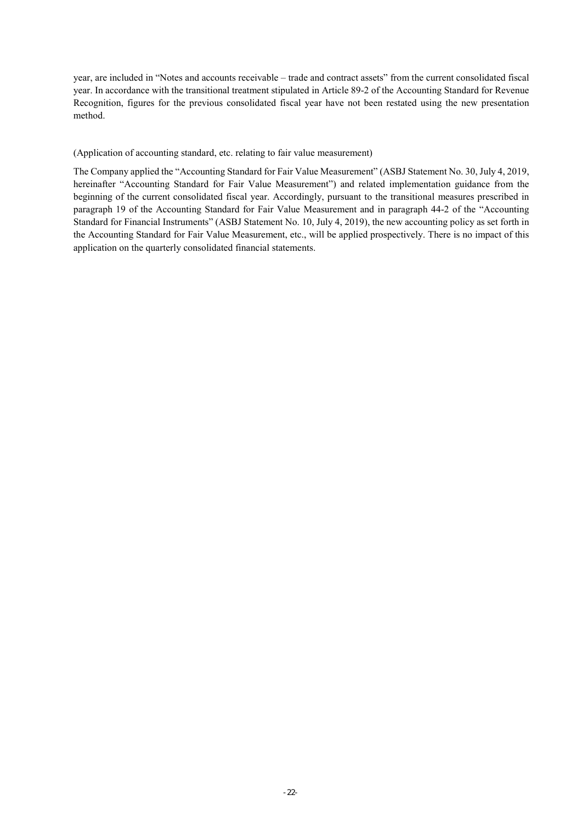year, are included in "Notes and accounts receivable – trade and contract assets" from the current consolidated fiscal year. In accordance with the transitional treatment stipulated in Article 89-2 of the Accounting Standard for Revenue Recognition, figures for the previous consolidated fiscal year have not been restated using the new presentation method.

#### (Application of accounting standard, etc. relating to fair value measurement)

The Company applied the "Accounting Standard for Fair Value Measurement" (ASBJ Statement No. 30, July 4, 2019, hereinafter "Accounting Standard for Fair Value Measurement") and related implementation guidance from the beginning of the current consolidated fiscal year. Accordingly, pursuant to the transitional measures prescribed in paragraph 19 of the Accounting Standard for Fair Value Measurement and in paragraph 44-2 of the "Accounting Standard for Financial Instruments" (ASBJ Statement No. 10, July 4, 2019), the new accounting policy as set forth in the Accounting Standard for Fair Value Measurement, etc., will be applied prospectively. There is no impact of this application on the quarterly consolidated financial statements.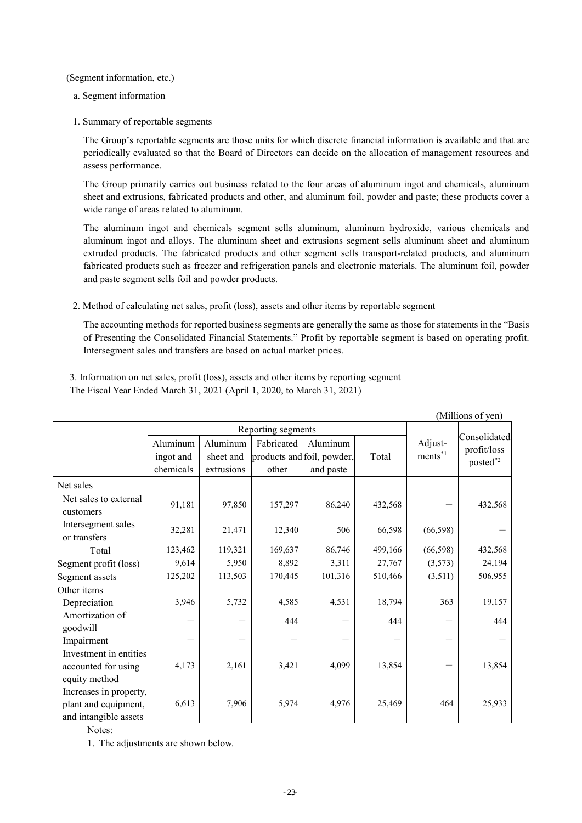(Segment information, etc.)

- a. Segment information
- 1. Summary of reportable segments

The Group's reportable segments are those units for which discrete financial information is available and that are periodically evaluated so that the Board of Directors can decide on the allocation of management resources and assess performance.

The Group primarily carries out business related to the four areas of aluminum ingot and chemicals, aluminum sheet and extrusions, fabricated products and other, and aluminum foil, powder and paste; these products cover a wide range of areas related to aluminum.

The aluminum ingot and chemicals segment sells aluminum, aluminum hydroxide, various chemicals and aluminum ingot and alloys. The aluminum sheet and extrusions segment sells aluminum sheet and aluminum extruded products. The fabricated products and other segment sells transport-related products, and aluminum fabricated products such as freezer and refrigeration panels and electronic materials. The aluminum foil, powder and paste segment sells foil and powder products.

2. Method of calculating net sales, profit (loss), assets and other items by reportable segment

The accounting methods for reported business segments are generally the same as those for statements in the "Basis of Presenting the Consolidated Financial Statements." Profit by reportable segment is based on operating profit. Intersegment sales and transfers are based on actual market prices.

3. Information on net sales, profit (loss), assets and other items by reporting segment The Fiscal Year Ended March 31, 2021 (April 1, 2020, to March 31, 2021)

|                                                                         |                       |                       |                                          |           |         |                             | (Millions of yen)           |
|-------------------------------------------------------------------------|-----------------------|-----------------------|------------------------------------------|-----------|---------|-----------------------------|-----------------------------|
|                                                                         | Reporting segments    |                       |                                          |           |         |                             |                             |
|                                                                         | Aluminum<br>ingot and | Aluminum<br>sheet and | Fabricated<br>products and foil, powder, | Aluminum  | Total   | Adjust-<br>$ments^{\ast 1}$ | Consolidated<br>profit/loss |
|                                                                         | chemicals             | extrusions            | other                                    | and paste |         |                             | posted*2                    |
| Net sales                                                               |                       |                       |                                          |           |         |                             |                             |
| Net sales to external<br>customers                                      | 91,181                | 97,850                | 157,297                                  | 86,240    | 432,568 |                             | 432,568                     |
| Intersegment sales<br>or transfers                                      | 32,281                | 21,471                | 12,340                                   | 506       | 66,598  | (66, 598)                   |                             |
| Total                                                                   | 123,462               | 119,321               | 169,637                                  | 86,746    | 499,166 | (66, 598)                   | 432,568                     |
| Segment profit (loss)                                                   | 9,614                 | 5,950                 | 8,892                                    | 3,311     | 27,767  | (3,573)                     | 24,194                      |
| Segment assets                                                          | 125,202               | 113,503               | 170,445                                  | 101,316   | 510,466 | (3,511)                     | 506,955                     |
| Other items                                                             |                       |                       |                                          |           |         |                             |                             |
| Depreciation                                                            | 3,946                 | 5,732                 | 4,585                                    | 4,531     | 18,794  | 363                         | 19,157                      |
| Amortization of<br>goodwill                                             |                       |                       | 444                                      |           | 444     |                             | 444                         |
| Impairment                                                              |                       |                       |                                          |           |         |                             |                             |
| Investment in entities<br>accounted for using<br>equity method          | 4,173                 | 2,161                 | 3,421                                    | 4,099     | 13,854  |                             | 13,854                      |
| Increases in property,<br>plant and equipment,<br>and intangible assets | 6,613                 | 7,906                 | 5,974                                    | 4,976     | 25,469  | 464                         | 25,933                      |

Notes:

1. The adjustments are shown below.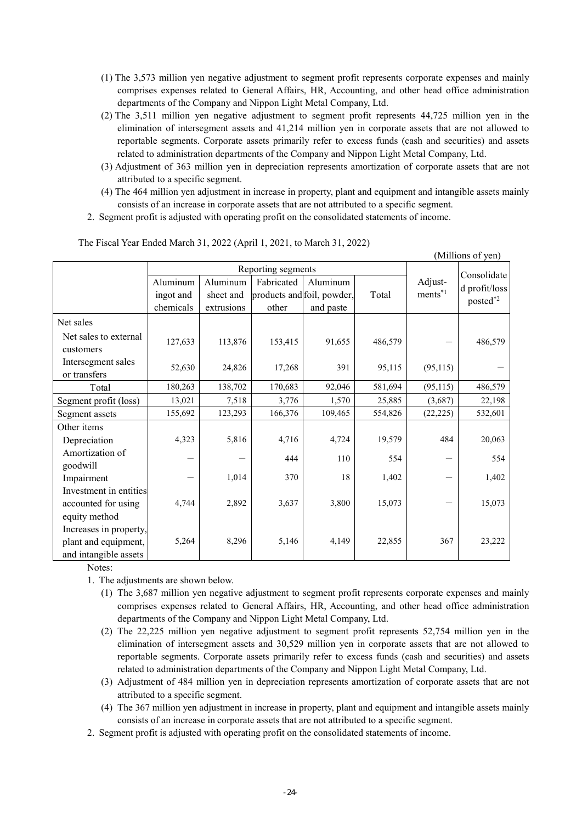- (1) The 3,573 million yen negative adjustment to segment profit represents corporate expenses and mainly comprises expenses related to General Affairs, HR, Accounting, and other head office administration departments of the Company and Nippon Light Metal Company, Ltd.
- (2) The 3,511 million yen negative adjustment to segment profit represents 44,725 million yen in the elimination of intersegment assets and 41,214 million yen in corporate assets that are not allowed to reportable segments. Corporate assets primarily refer to excess funds (cash and securities) and assets related to administration departments of the Company and Nippon Light Metal Company, Ltd.
- (3) Adjustment of 363 million yen in depreciation represents amortization of corporate assets that are not attributed to a specific segment.
- (4) The 464 million yen adjustment in increase in property, plant and equipment and intangible assets mainly consists of an increase in corporate assets that are not attributed to a specific segment.
- 2. Segment profit is adjusted with operating profit on the consolidated statements of income.

|                                    |                    |            |                            |           |         |                        | (Millions of yen)            |
|------------------------------------|--------------------|------------|----------------------------|-----------|---------|------------------------|------------------------------|
|                                    | Reporting segments |            |                            |           |         |                        |                              |
|                                    | Aluminum           | Aluminum   | Fabricated                 | Aluminum  |         | Adjust-                | Consolidate<br>d profit/loss |
|                                    | ingot and          | sheet and  | products and foil, powder, |           | Total   | $ments^*$ <sup>1</sup> | posted*2                     |
|                                    | chemicals          | extrusions | other                      | and paste |         |                        |                              |
| Net sales                          |                    |            |                            |           |         |                        |                              |
| Net sales to external<br>customers | 127,633            | 113,876    | 153,415                    | 91,655    | 486,579 |                        | 486,579                      |
| Intersegment sales<br>or transfers | 52,630             | 24,826     | 17,268                     | 391       | 95,115  | (95, 115)              |                              |
| Total                              | 180,263            | 138,702    | 170,683                    | 92,046    | 581,694 | (95, 115)              | 486,579                      |
| Segment profit (loss)              | 13,021             | 7,518      | 3,776                      | 1,570     | 25,885  | (3,687)                | 22,198                       |
| Segment assets                     | 155,692            | 123,293    | 166,376                    | 109,465   | 554,826 | (22, 225)              | 532,601                      |
| Other items                        |                    |            |                            |           |         |                        |                              |
| Depreciation                       | 4,323              | 5,816      | 4,716                      | 4,724     | 19,579  | 484                    | 20,063                       |
| Amortization of<br>goodwill        |                    |            | 444                        | 110       | 554     |                        | 554                          |
| Impairment                         |                    | 1,014      | 370                        | 18        | 1,402   |                        | 1,402                        |
| Investment in entities             |                    |            |                            |           |         |                        |                              |
| accounted for using                | 4,744              | 2,892      | 3,637                      | 3,800     | 15,073  |                        | 15,073                       |
| equity method                      |                    |            |                            |           |         |                        |                              |
| Increases in property,             |                    |            |                            |           |         |                        |                              |
| plant and equipment,               | 5,264              | 8,296      | 5,146                      | 4,149     | 22,855  | 367                    | 23,222                       |
| and intangible assets              |                    |            |                            |           |         |                        |                              |

The Fiscal Year Ended March 31, 2022 (April 1, 2021, to March 31, 2022)

Notes:

1. The adjustments are shown below.

- (1) The 3,687 million yen negative adjustment to segment profit represents corporate expenses and mainly comprises expenses related to General Affairs, HR, Accounting, and other head office administration departments of the Company and Nippon Light Metal Company, Ltd.
- (2) The 22,225 million yen negative adjustment to segment profit represents 52,754 million yen in the elimination of intersegment assets and 30,529 million yen in corporate assets that are not allowed to reportable segments. Corporate assets primarily refer to excess funds (cash and securities) and assets related to administration departments of the Company and Nippon Light Metal Company, Ltd.
- (3) Adjustment of 484 million yen in depreciation represents amortization of corporate assets that are not attributed to a specific segment.
- (4) The 367 million yen adjustment in increase in property, plant and equipment and intangible assets mainly consists of an increase in corporate assets that are not attributed to a specific segment.
- 2. Segment profit is adjusted with operating profit on the consolidated statements of income.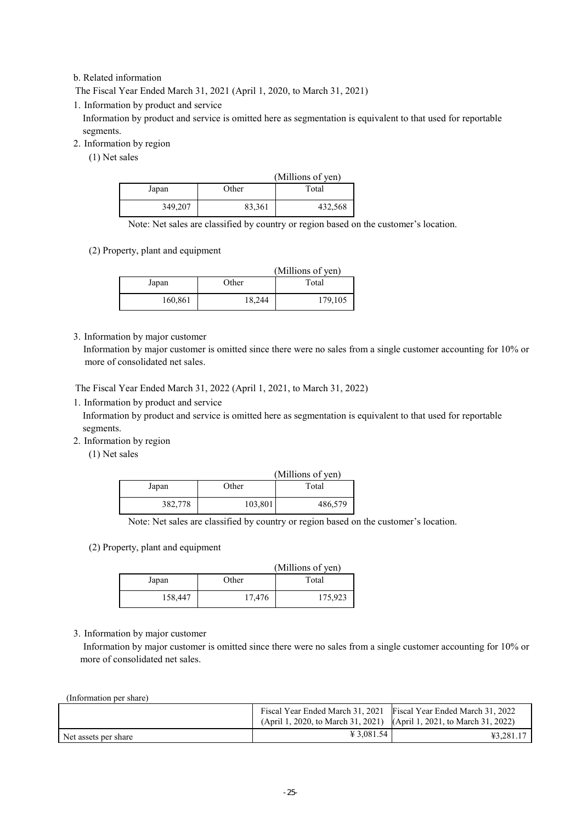## b. Related information

The Fiscal Year Ended March 31, 2021 (April 1, 2020, to March 31, 2021)

1. Information by product and service

Information by product and service is omitted here as segmentation is equivalent to that used for reportable segments.

2. Information by region

(1) Net sales

|         |        | (Millions of yen) |
|---------|--------|-------------------|
| Japan   | Other  | Total             |
| 349,207 | 83,361 | 432,568           |

Note: Net sales are classified by country or region based on the customer's location.

(2) Property, plant and equipment

|         |        | (Millions of yen) |
|---------|--------|-------------------|
| Japan   | Other  | Total             |
| 160,861 | 18,244 | 179,105           |

3. Information by major customer

Information by major customer is omitted since there were no sales from a single customer accounting for 10% or more of consolidated net sales.

The Fiscal Year Ended March 31, 2022 (April 1, 2021, to March 31, 2022)

1. Information by product and service

Information by product and service is omitted here as segmentation is equivalent to that used for reportable segments.

2. Information by region

(1) Net sales

|         |         | (Millions of yen) |
|---------|---------|-------------------|
| Japan   | Other   | Total             |
| 382,778 | 103,801 | 486,579           |

Note: Net sales are classified by country or region based on the customer's location.

(2) Property, plant and equipment

|         |        | (Millions of yen) |
|---------|--------|-------------------|
| Japan   | Other  | Total             |
| 158,447 | 17,476 | 175,923           |

#### 3. Information by major customer

Information by major customer is omitted since there were no sales from a single customer accounting for 10% or more of consolidated net sales.

(Information per share)

|                      | Fiscal Year Ended March 31, 2021 Fiscal Year Ended March 31, 2022<br>(April 1, 2020, to March 31, 2021) (April 1, 2021, to March 31, 2022) |           |
|----------------------|--------------------------------------------------------------------------------------------------------------------------------------------|-----------|
| Net assets per share | $\text{\textsterling} 3.081.54$                                                                                                            | ¥3.281.17 |